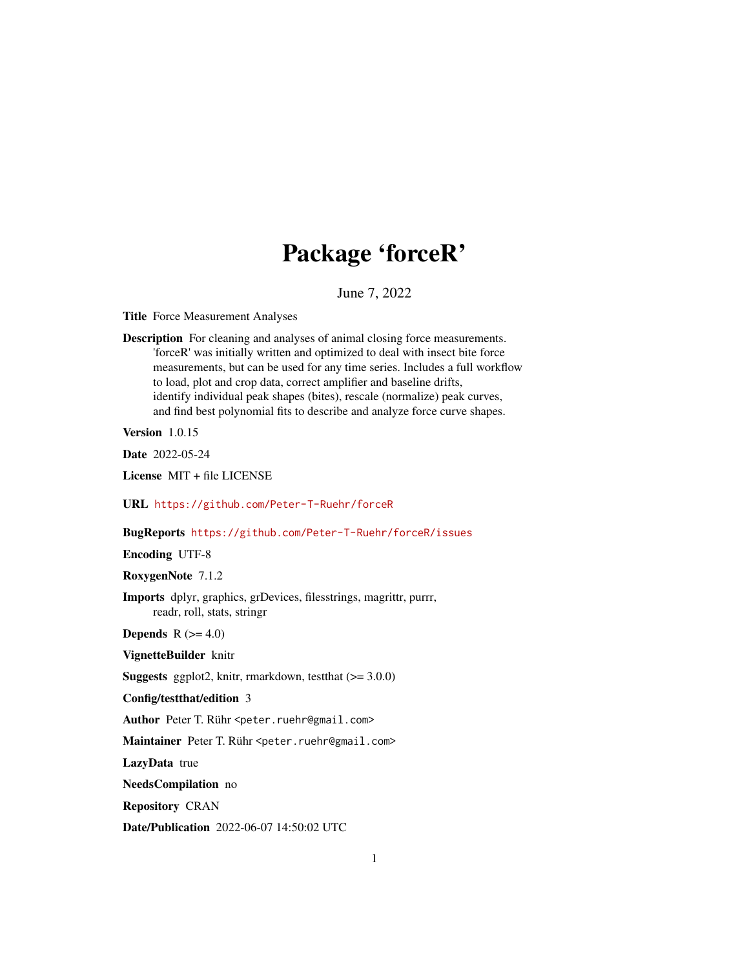# Package 'forceR'

# June 7, 2022

Title Force Measurement Analyses

Description For cleaning and analyses of animal closing force measurements. 'forceR' was initially written and optimized to deal with insect bite force measurements, but can be used for any time series. Includes a full workflow to load, plot and crop data, correct amplifier and baseline drifts, identify individual peak shapes (bites), rescale (normalize) peak curves, and find best polynomial fits to describe and analyze force curve shapes.

Version 1.0.15

Date 2022-05-24

License MIT + file LICENSE

URL <https://github.com/Peter-T-Ruehr/forceR>

BugReports <https://github.com/Peter-T-Ruehr/forceR/issues>

Encoding UTF-8

RoxygenNote 7.1.2

Imports dplyr, graphics, grDevices, filesstrings, magrittr, purrr, readr, roll, stats, stringr

**Depends** R  $(>= 4.0)$ 

VignetteBuilder knitr

**Suggests** ggplot2, knitr, rmarkdown, test that  $(>= 3.0.0)$ 

Config/testthat/edition 3

Author Peter T. Rühr <peter.ruehr@gmail.com>

Maintainer Peter T. Rühr <peter.ruehr@gmail.com>

LazyData true

NeedsCompilation no

Repository CRAN

Date/Publication 2022-06-07 14:50:02 UTC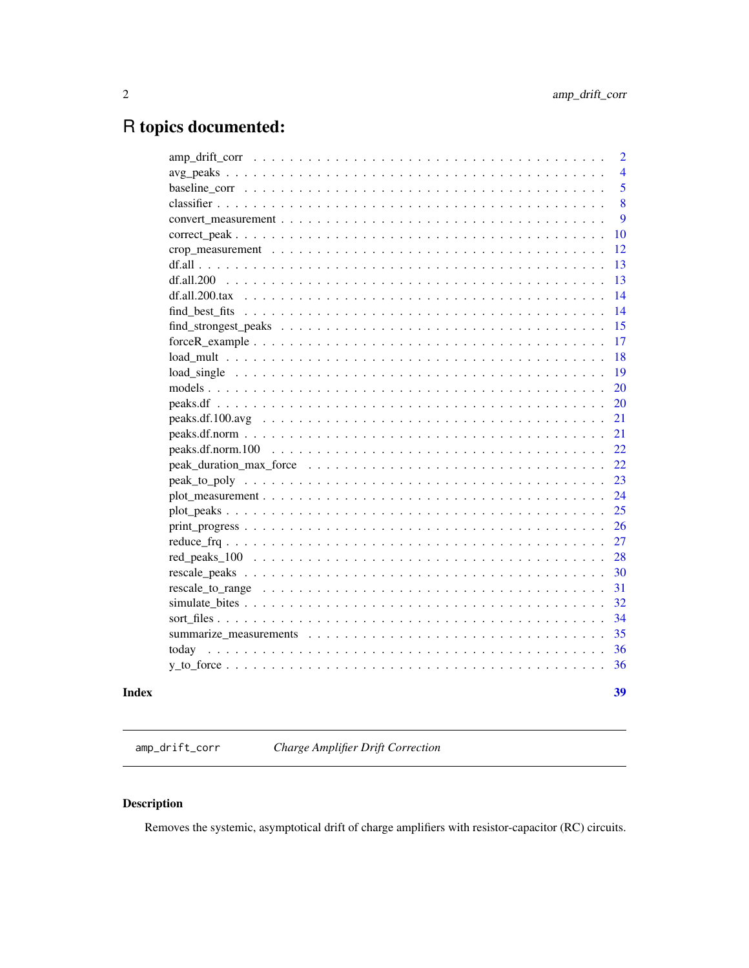# <span id="page-1-0"></span>R topics documented:

|                                                                                                              |  |  |  |  |  |  |  |  |  |  |  | 39             |
|--------------------------------------------------------------------------------------------------------------|--|--|--|--|--|--|--|--|--|--|--|----------------|
|                                                                                                              |  |  |  |  |  |  |  |  |  |  |  | 36             |
|                                                                                                              |  |  |  |  |  |  |  |  |  |  |  | 36             |
|                                                                                                              |  |  |  |  |  |  |  |  |  |  |  | 35             |
|                                                                                                              |  |  |  |  |  |  |  |  |  |  |  | 34             |
|                                                                                                              |  |  |  |  |  |  |  |  |  |  |  | 32             |
|                                                                                                              |  |  |  |  |  |  |  |  |  |  |  | 31             |
|                                                                                                              |  |  |  |  |  |  |  |  |  |  |  | 30             |
|                                                                                                              |  |  |  |  |  |  |  |  |  |  |  | 28             |
|                                                                                                              |  |  |  |  |  |  |  |  |  |  |  | 27             |
|                                                                                                              |  |  |  |  |  |  |  |  |  |  |  | 26             |
|                                                                                                              |  |  |  |  |  |  |  |  |  |  |  | 25             |
|                                                                                                              |  |  |  |  |  |  |  |  |  |  |  | 24             |
|                                                                                                              |  |  |  |  |  |  |  |  |  |  |  | 23             |
|                                                                                                              |  |  |  |  |  |  |  |  |  |  |  | 22             |
|                                                                                                              |  |  |  |  |  |  |  |  |  |  |  | 22             |
|                                                                                                              |  |  |  |  |  |  |  |  |  |  |  | 21             |
| $peaks.df.100.avg \dots \dots \dots \dots \dots \dots \dots \dots \dots \dots \dots \dots \dots \dots \dots$ |  |  |  |  |  |  |  |  |  |  |  | 21             |
|                                                                                                              |  |  |  |  |  |  |  |  |  |  |  | 20             |
|                                                                                                              |  |  |  |  |  |  |  |  |  |  |  | 20             |
|                                                                                                              |  |  |  |  |  |  |  |  |  |  |  | 19             |
|                                                                                                              |  |  |  |  |  |  |  |  |  |  |  | 18             |
| $forceR\_example$                                                                                            |  |  |  |  |  |  |  |  |  |  |  | 17             |
|                                                                                                              |  |  |  |  |  |  |  |  |  |  |  | 15             |
|                                                                                                              |  |  |  |  |  |  |  |  |  |  |  | 14             |
|                                                                                                              |  |  |  |  |  |  |  |  |  |  |  | 14             |
|                                                                                                              |  |  |  |  |  |  |  |  |  |  |  | 13             |
|                                                                                                              |  |  |  |  |  |  |  |  |  |  |  | 13             |
|                                                                                                              |  |  |  |  |  |  |  |  |  |  |  | 12             |
|                                                                                                              |  |  |  |  |  |  |  |  |  |  |  | 10             |
|                                                                                                              |  |  |  |  |  |  |  |  |  |  |  | 9              |
|                                                                                                              |  |  |  |  |  |  |  |  |  |  |  | 8              |
|                                                                                                              |  |  |  |  |  |  |  |  |  |  |  | 5              |
|                                                                                                              |  |  |  |  |  |  |  |  |  |  |  | 4              |
|                                                                                                              |  |  |  |  |  |  |  |  |  |  |  | $\overline{2}$ |

amp\_drift\_corr *Charge Amplifier Drift Correction*

# Description

Removes the systemic, asymptotical drift of charge amplifiers with resistor-capacitor (RC) circuits.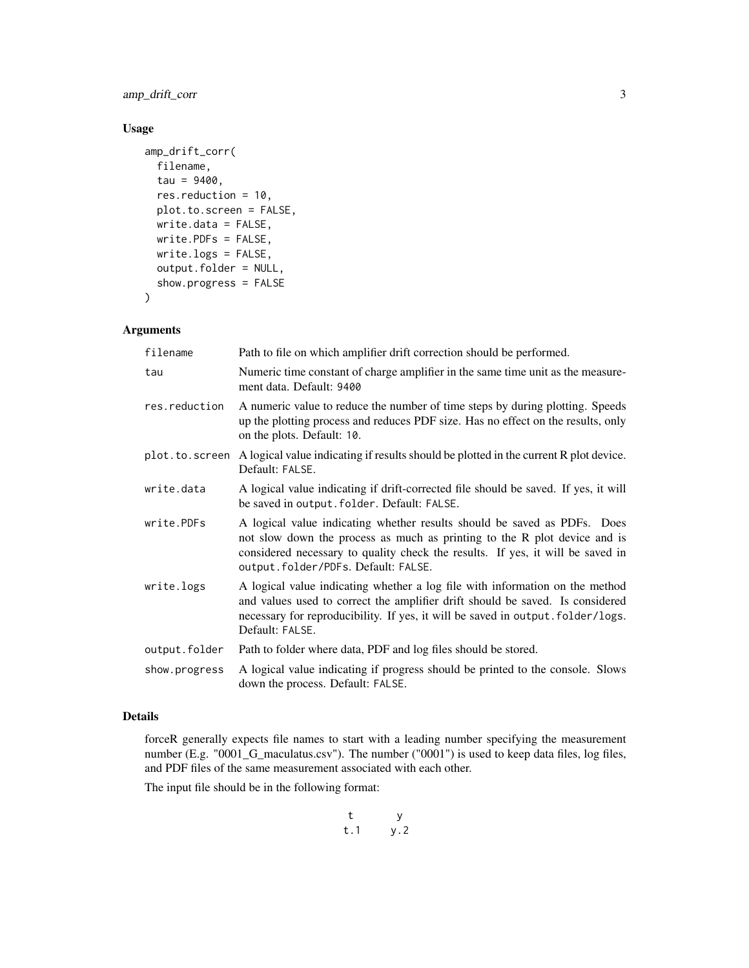amp\_drift\_corr 3

# Usage

```
amp_drift_corr(
 filename,
  tau = 9400,res.reduction = 10,
 plot.to.screen = FALSE,
 write.data = FALSE,
 write.PDFs = FALSE,
 write.logs = FALSE,
 output.folder = NULL,
  show.progress = FALSE
)
```
# Arguments

| filename       | Path to file on which amplifier drift correction should be performed.                                                                                                                                                                                                         |
|----------------|-------------------------------------------------------------------------------------------------------------------------------------------------------------------------------------------------------------------------------------------------------------------------------|
| tau            | Numeric time constant of charge amplifier in the same time unit as the measure-<br>ment data. Default: 9400                                                                                                                                                                   |
| res.reduction  | A numeric value to reduce the number of time steps by during plotting. Speeds<br>up the plotting process and reduces PDF size. Has no effect on the results, only<br>on the plots. Default: 10.                                                                               |
| plot.to.screen | A logical value indicating if results should be plotted in the current R plot device.<br>Default: FALSE.                                                                                                                                                                      |
| write.data     | A logical value indicating if drift-corrected file should be saved. If yes, it will<br>be saved in output. folder. Default: FALSE.                                                                                                                                            |
| write.PDFs     | A logical value indicating whether results should be saved as PDFs. Does<br>not slow down the process as much as printing to the R plot device and is<br>considered necessary to quality check the results. If yes, it will be saved in<br>output.folder/PDFs.Default: FALSE. |
| write.logs     | A logical value indicating whether a log file with information on the method<br>and values used to correct the amplifier drift should be saved. Is considered<br>necessary for reproducibility. If yes, it will be saved in output. folder/logs.<br>Default: FALSE.           |
| output.folder  | Path to folder where data, PDF and log files should be stored.                                                                                                                                                                                                                |
| show.progress  | A logical value indicating if progress should be printed to the console. Slows<br>down the process. Default: FALSE.                                                                                                                                                           |

#### Details

forceR generally expects file names to start with a leading number specifying the measurement number (E.g. "0001\_G\_maculatus.csv"). The number ("0001") is used to keep data files, log files, and PDF files of the same measurement associated with each other.

The input file should be in the following format:

$$
\begin{matrix} t & y \\ t.1 & y.2 \end{matrix}
$$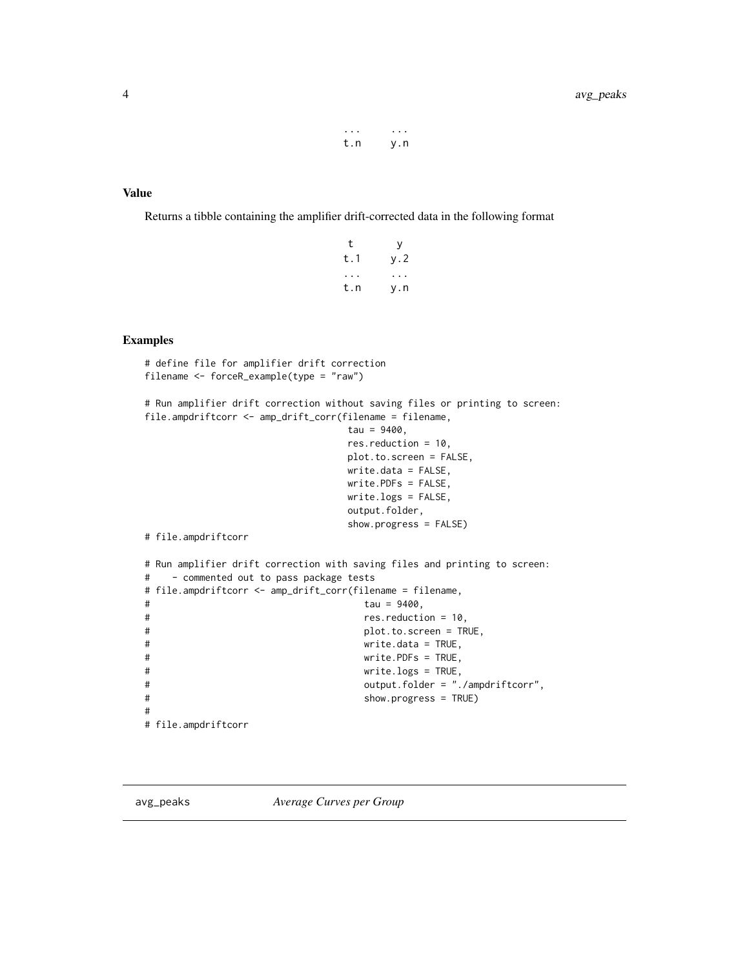... ... t.n y.n

#### <span id="page-3-0"></span>Value

Returns a tibble containing the amplifier drift-corrected data in the following format

| t         | y.  |
|-----------|-----|
| t.1       | y.2 |
| $\bullet$ |     |
| t.n       | y.n |

#### Examples

```
# define file for amplifier drift correction
filename <- forceR_example(type = "raw")
# Run amplifier drift correction without saving files or printing to screen:
file.ampdriftcorr <- amp_drift_corr(filename = filename,
                          tau = 9400,res.reduction = 10,
                          plot.to.screen = FALSE,
                          write.data = FALSE,
                          write.PDFs = FALSE,
                          write.logs = FALSE,
                          output.folder,
                          show.progress = FALSE)
# file.ampdriftcorr
# Run amplifier drift correction with saving files and printing to screen:
# - commented out to pass package tests
# file.ampdriftcorr <- amp_drift_corr(filename = filename,
# tau = 9400,
# res.reduction = 10,
# plot.to.screen = TRUE,
# write.data = TRUE,
# write.PDFs = TRUE,
# write.logs = TRUE,
# output.folder = "./ampdriftcorr",
# show.progress = TRUE)
#
# file.ampdriftcorr
```
avg\_peaks *Average Curves per Group*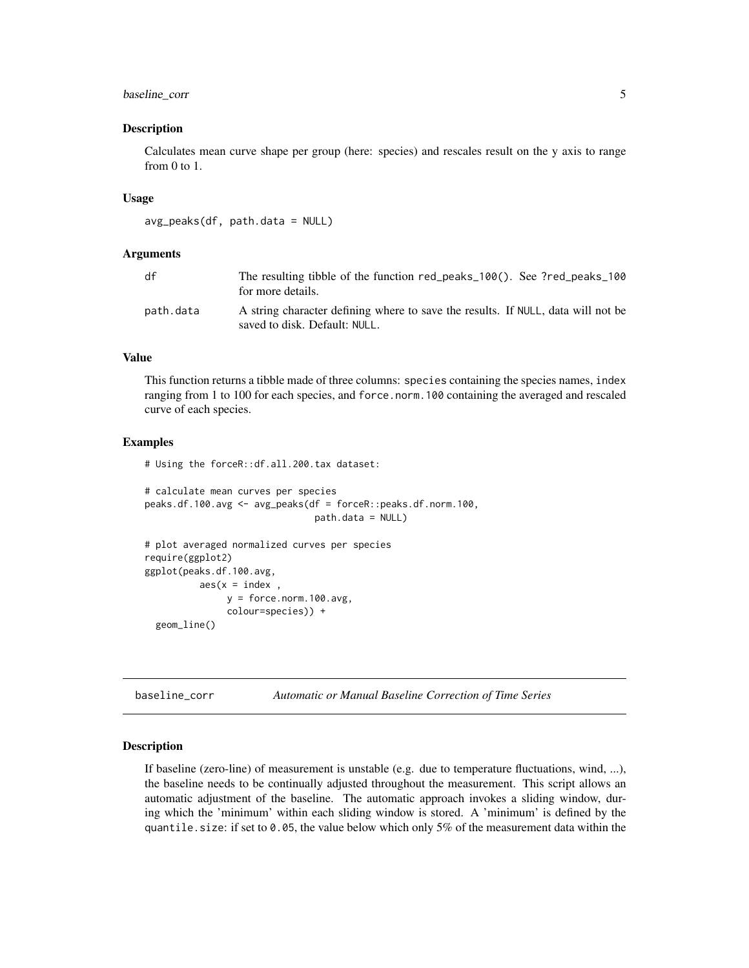#### <span id="page-4-0"></span>baseline\_corr 5

#### Description

Calculates mean curve shape per group (here: species) and rescales result on the y axis to range from 0 to 1.

#### Usage

```
avg_peaks(df, path.data = NULL)
```
#### Arguments

| df        | The resulting tibble of the function red_peaks_100(). See ?red_peaks_100<br>for more details.                     |
|-----------|-------------------------------------------------------------------------------------------------------------------|
| path.data | A string character defining where to save the results. If NULL, data will not be<br>saved to disk. Default: NULL. |

#### Value

This function returns a tibble made of three columns: species containing the species names, index ranging from 1 to 100 for each species, and force.norm.100 containing the averaged and rescaled curve of each species.

#### Examples

# Using the forceR::df.all.200.tax dataset:

```
# calculate mean curves per species
peaks.df.100.avg <- avg_peaks(df = forceR::peaks.df.norm.100,
                               path.data = NULL)
```

```
# plot averaged normalized curves per species
require(ggplot2)
ggplot(peaks.df.100.avg,
           \text{aes}(x = \text{index} ,y = force.norm.100.avg,
                colour=species)) +
 geom_line()
```
baseline\_corr *Automatic or Manual Baseline Correction of Time Series*

#### Description

If baseline (zero-line) of measurement is unstable (e.g. due to temperature fluctuations, wind, ...), the baseline needs to be continually adjusted throughout the measurement. This script allows an automatic adjustment of the baseline. The automatic approach invokes a sliding window, during which the 'minimum' within each sliding window is stored. A 'minimum' is defined by the quantile. size: if set to 0.05, the value below which only 5% of the measurement data within the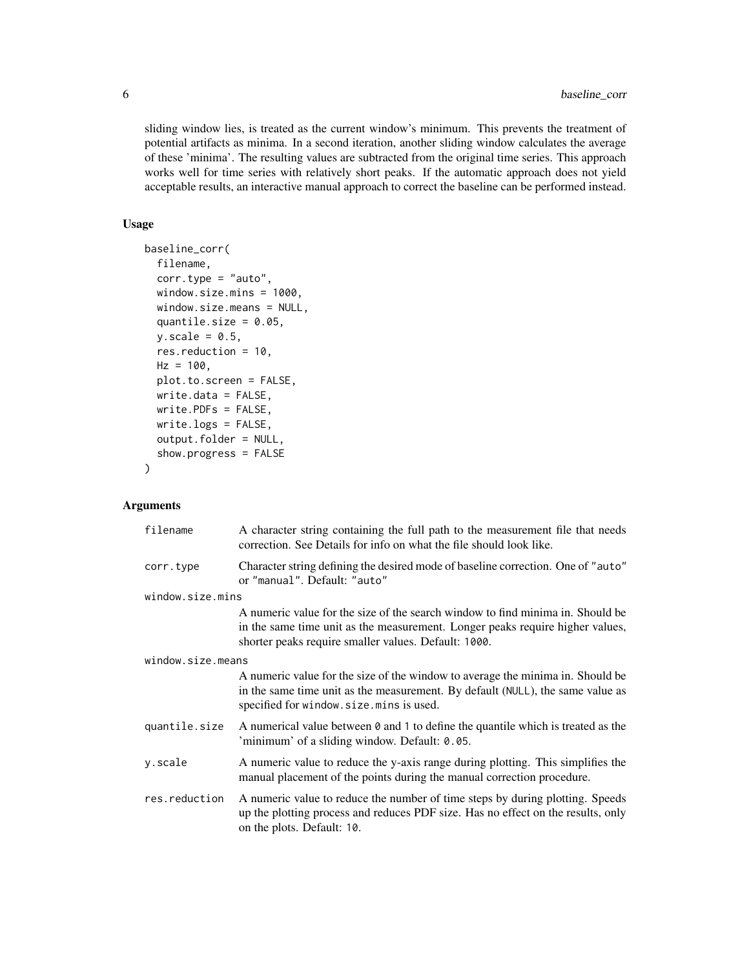sliding window lies, is treated as the current window's minimum. This prevents the treatment of potential artifacts as minima. In a second iteration, another sliding window calculates the average of these 'minima'. The resulting values are subtracted from the original time series. This approach works well for time series with relatively short peaks. If the automatic approach does not yield acceptable results, an interactive manual approach to correct the baseline can be performed instead.

# Usage

```
baseline_corr(
  filename,
  corr.type = "auto",
  window.size.mins = 1000,
  window.size.means = NULL,
  quantile.size = 0.05,
  y.\text{scale} = 0.5,
  res.reduction = 10,
 Hz = 100.
  plot.to.screen = FALSE,
  write.data = FALSE,
  write.PDFs = FALSE,
  write.logs = FALSE,
  output.folder = NULL,
  show.progress = FALSE
)
```
# Arguments

| filename          | A character string containing the full path to the measurement file that needs<br>correction. See Details for info on what the file should look like.                                                                   |
|-------------------|-------------------------------------------------------------------------------------------------------------------------------------------------------------------------------------------------------------------------|
| corr.type         | Character string defining the desired mode of baseline correction. One of "auto"<br>or "manual". Default: "auto"                                                                                                        |
| window.size.mins  |                                                                                                                                                                                                                         |
|                   | A numeric value for the size of the search window to find minima in. Should be<br>in the same time unit as the measurement. Longer peaks require higher values,<br>shorter peaks require smaller values. Default: 1000. |
| window.size.means |                                                                                                                                                                                                                         |
|                   | A numeric value for the size of the window to average the minima in. Should be<br>in the same time unit as the measurement. By default (NULL), the same value as<br>specified for window.size.mins is used.             |
| quantile.size     | A numerical value between 0 and 1 to define the quantile which is treated as the<br>'minimum' of a sliding window. Default: 0.05.                                                                                       |
| y.scale           | A numeric value to reduce the y-axis range during plotting. This simplifies the<br>manual placement of the points during the manual correction procedure.                                                               |
| res.reduction     | A numeric value to reduce the number of time steps by during plotting. Speeds<br>up the plotting process and reduces PDF size. Has no effect on the results, only<br>on the plots. Default: 10.                         |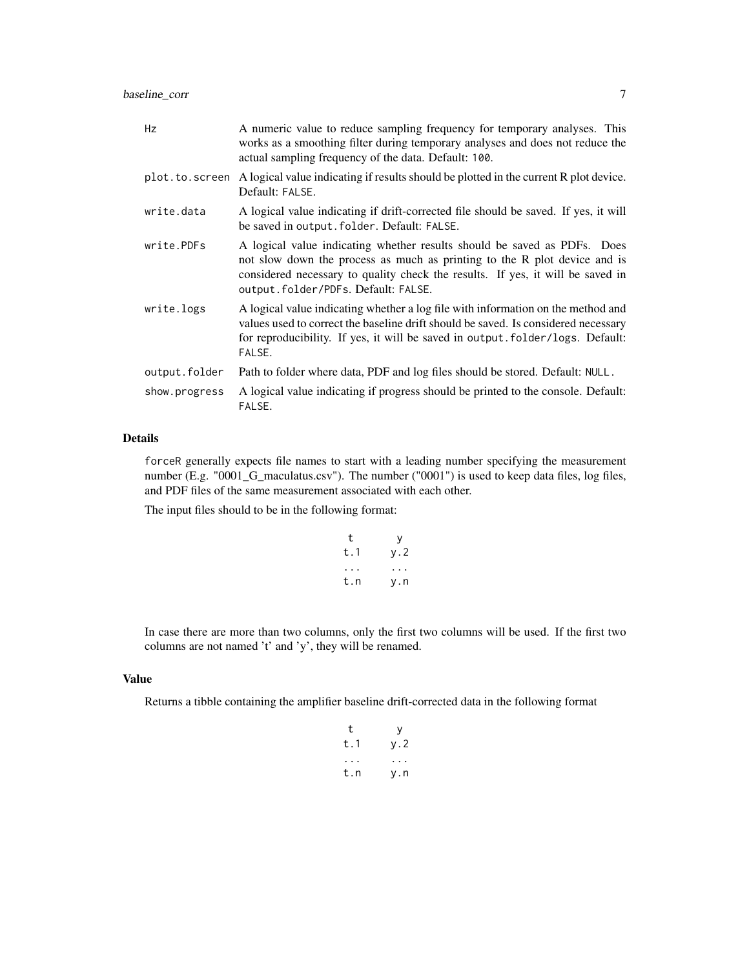baseline\_corr 7

| Hz             | A numeric value to reduce sampling frequency for temporary analyses. This<br>works as a smoothing filter during temporary analyses and does not reduce the<br>actual sampling frequency of the data. Default: 100.                                                            |
|----------------|-------------------------------------------------------------------------------------------------------------------------------------------------------------------------------------------------------------------------------------------------------------------------------|
| plot.to.screen | A logical value indicating if results should be plotted in the current R plot device.<br>Default: FALSE.                                                                                                                                                                      |
| write.data     | A logical value indicating if drift-corrected file should be saved. If yes, it will<br>be saved in output. folder. Default: FALSE.                                                                                                                                            |
| write.PDFs     | A logical value indicating whether results should be saved as PDFs. Does<br>not slow down the process as much as printing to the R plot device and is<br>considered necessary to quality check the results. If yes, it will be saved in<br>output.folder/PDFs.Default: FALSE. |
| write.logs     | A logical value indicating whether a log file with information on the method and<br>values used to correct the baseline drift should be saved. Is considered necessary<br>for reproducibility. If yes, it will be saved in output.folder/logs. Default:<br>FALSE.             |
| output.folder  | Path to folder where data, PDF and log files should be stored. Default: NULL.                                                                                                                                                                                                 |
| show.progress  | A logical value indicating if progress should be printed to the console. Default:<br>FALSE.                                                                                                                                                                                   |

#### Details

forceR generally expects file names to start with a leading number specifying the measurement number (E.g. "0001\_G\_maculatus.csv"). The number ("0001") is used to keep data files, log files, and PDF files of the same measurement associated with each other.

The input files should to be in the following format:

| t   | v   |
|-----|-----|
| t.1 | y.2 |
|     |     |
| t.n | v.n |

In case there are more than two columns, only the first two columns will be used. If the first two columns are not named 't' and 'y', they will be renamed.

# Value

Returns a tibble containing the amplifier baseline drift-corrected data in the following format

| t   | У   |
|-----|-----|
| t.1 | y.2 |
|     |     |
| t.n | y.n |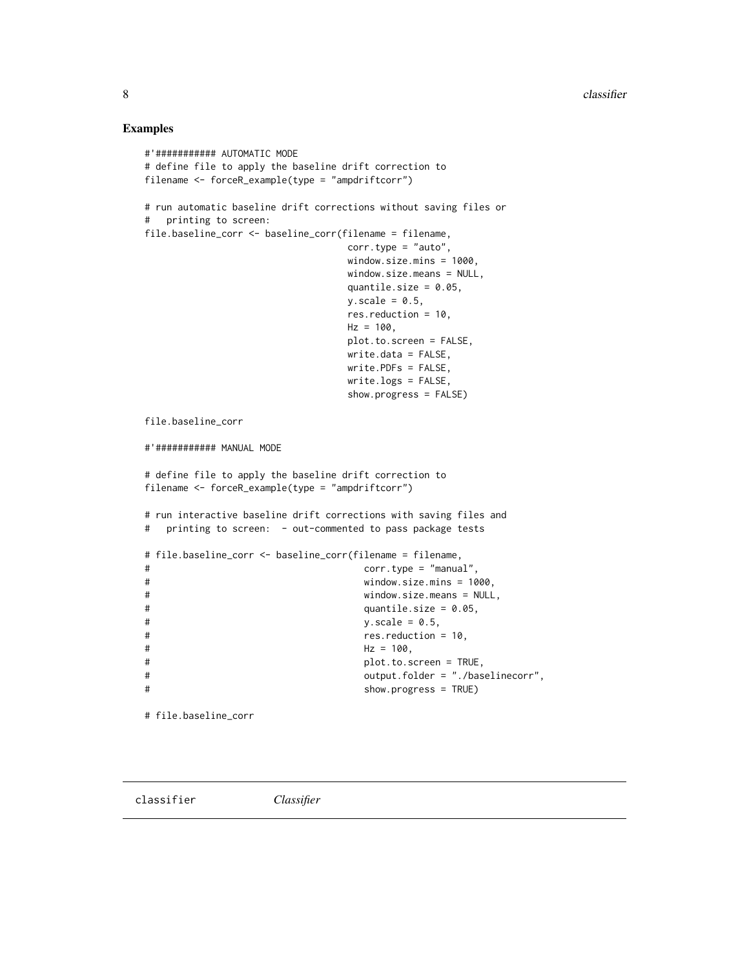#### <span id="page-7-0"></span>Examples

```
#'########### AUTOMATIC MODE
# define file to apply the baseline drift correction to
filename <- forceR_example(type = "ampdriftcorr")
# run automatic baseline drift corrections without saving files or
# printing to screen:
file.baseline_corr <- baseline_corr(filename = filename,
                           corr.type = "auto",window.size.mins = 1000,
                           window.size.means = NULL,
                           quantile.size = 0.05,
                           y.\text{scale} = 0.5,
                           res.reduction = 10,
                           Hz = 100,plot.to.screen = FALSE,
                           write.data = FALSE,
                           write.PDFs = FALSE,
                           write.logs = FALSE,
                            show.progress = FALSE)
file.baseline_corr
#'########### MANUAL MODE
# define file to apply the baseline drift correction to
filename <- forceR_example(type = "ampdriftcorr")
# run interactive baseline drift corrections with saving files and
# printing to screen: - out-commented to pass package tests
# file.baseline_corr <- baseline_corr(filename = filename,
# corr.type = "manual",
# window.size.mins = 1000,
# window.size.means = NULL,
# quantile.size = 0.05,
# y. scale = 0.5,
# res.reduction = 10,
# Hz = 100,
# plot.to.screen = TRUE,
# output.folder = "./baselinecorr",
# show.progress = TRUE)
```
# file.baseline\_corr

classifier *Classifier*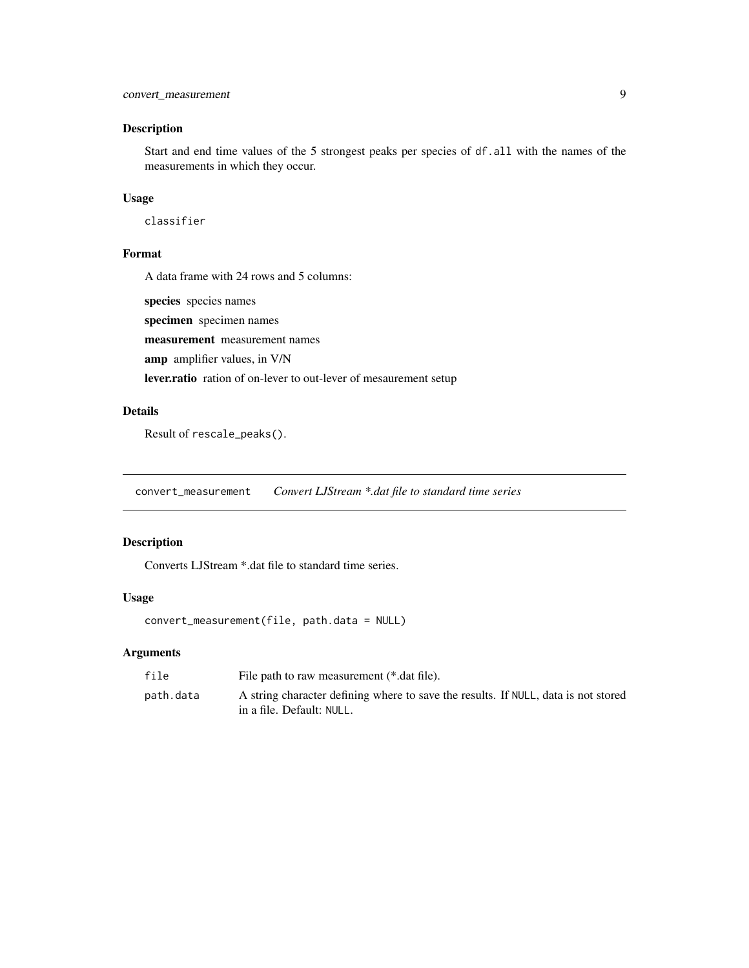# <span id="page-8-0"></span>Description

Start and end time values of the 5 strongest peaks per species of df.all with the names of the measurements in which they occur.

# Usage

classifier

# Format

A data frame with 24 rows and 5 columns:

species species names

specimen specimen names

measurement measurement names

amp amplifier values, in V/N

lever.ratio ration of on-lever to out-lever of mesaurement setup

# Details

Result of rescale\_peaks().

convert\_measurement *Convert LJStream \*.dat file to standard time series*

# Description

Converts LJStream \*.dat file to standard time series.

# Usage

```
convert_measurement(file, path.data = NULL)
```
# Arguments

| file      | File path to raw measurement (*.dat file).                                                                      |
|-----------|-----------------------------------------------------------------------------------------------------------------|
| path.data | A string character defining where to save the results. If NULL, data is not stored<br>in a file. Default: NULL. |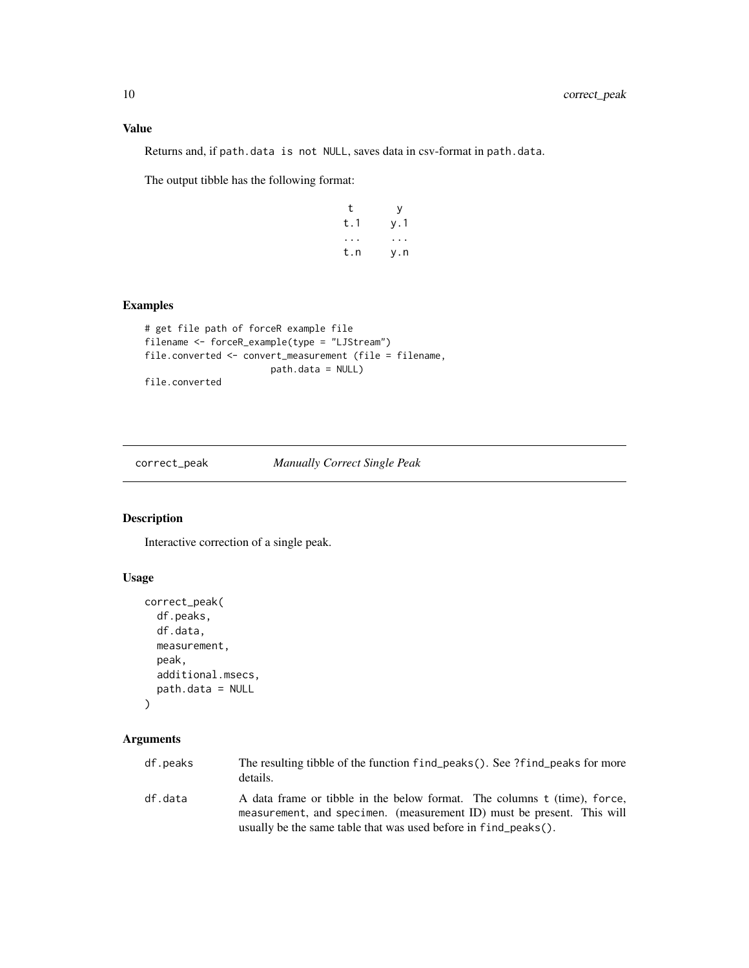<span id="page-9-0"></span>Returns and, if path.data is not NULL, saves data in csv-format in path.data.

The output tibble has the following format:

| t   | у                    |
|-----|----------------------|
| t.1 | y.1                  |
|     | $\ddot{\phantom{0}}$ |
| t.n | y.n                  |

# Examples

```
# get file path of forceR example file
filename <- forceR_example(type = "LJStream")
file.converted <- convert_measurement (file = filename,
                      path.data = NULL)
file.converted
```
correct\_peak *Manually Correct Single Peak*

#### Description

Interactive correction of a single peak.

#### Usage

```
correct_peak(
 df.peaks,
 df.data,
 measurement,
 peak,
  additional.msecs,
  path.data = NULL
)
```
# Arguments

| df.peaks | The resulting tibble of the function find peaks(). See ?find peaks for more<br>details.                                                            |
|----------|----------------------------------------------------------------------------------------------------------------------------------------------------|
| df.data  | A data frame or tibble in the below format. The columns t (time), force,<br>measurement, and specimen. (measurement ID) must be present. This will |
|          | usually be the same table that was used before in find peaks().                                                                                    |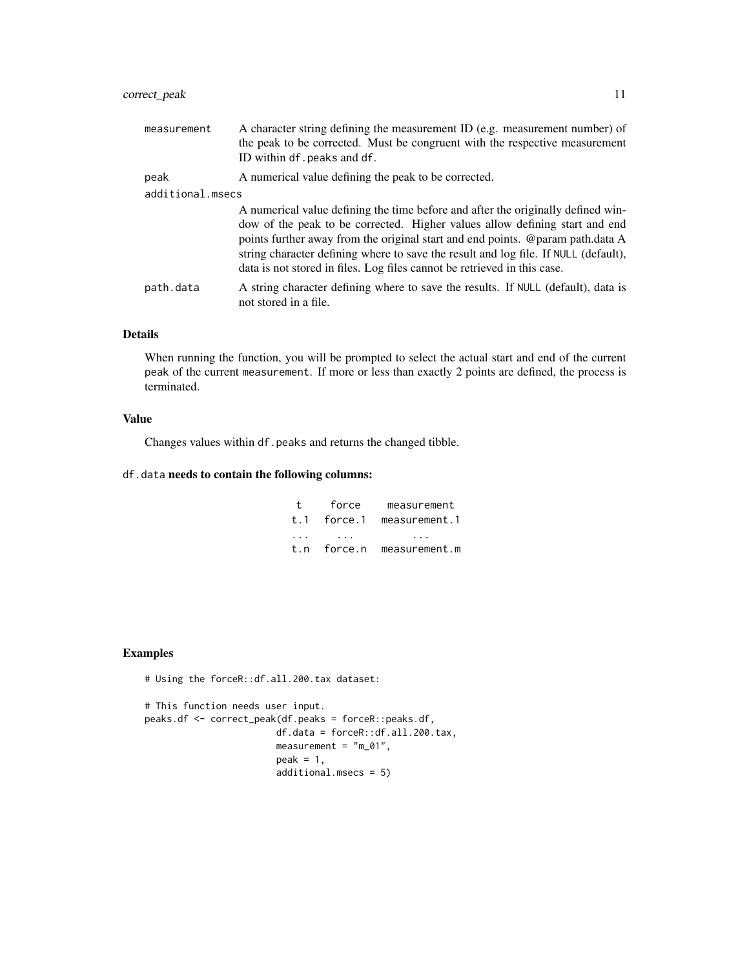# correct\_peak 11

| measurement      | A character string defining the measurement ID (e.g. measurement number) of<br>the peak to be corrected. Must be congruent with the respective measurement<br>ID within df. peaks and df.                                                                                                                                                                                                                            |
|------------------|----------------------------------------------------------------------------------------------------------------------------------------------------------------------------------------------------------------------------------------------------------------------------------------------------------------------------------------------------------------------------------------------------------------------|
| peak             | A numerical value defining the peak to be corrected.                                                                                                                                                                                                                                                                                                                                                                 |
| additional.msecs |                                                                                                                                                                                                                                                                                                                                                                                                                      |
|                  | A numerical value defining the time before and after the originally defined win-<br>dow of the peak to be corrected. Higher values allow defining start and end<br>points further away from the original start and end points. @param path.data A<br>string character defining where to save the result and log file. If NULL (default),<br>data is not stored in files. Log files cannot be retrieved in this case. |
| path.data        | A string character defining where to save the results. If NULL (default), data is<br>not stored in a file.                                                                                                                                                                                                                                                                                                           |

# Details

When running the function, you will be prompted to select the actual start and end of the current peak of the current measurement. If more or less than exactly 2 points are defined, the process is terminated.

#### Value

Changes values within df.peaks and returns the changed tibble.

# df.data needs to contain the following columns:

| $^{+}$   | force       | measurement               |
|----------|-------------|---------------------------|
|          | t.1 force.1 | measurement.1             |
| $\cdots$ | .           | .                         |
|          |             | t.n force.n measurement.m |

# Examples

# Using the forceR::df.all.200.tax dataset:

# This function needs user input. peaks.df <- correct\_peak(df.peaks = forceR::peaks.df, df.data = forceR::df.all.200.tax, measurement = "m\_01",  $peak = 1,$ additional.msecs = 5)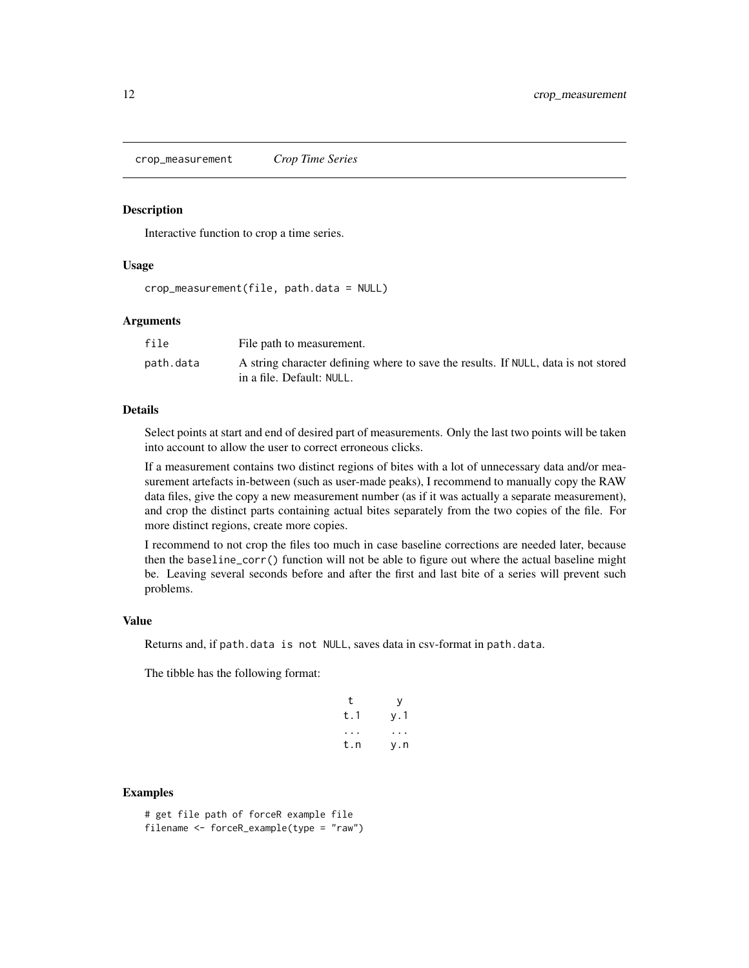<span id="page-11-0"></span>crop\_measurement *Crop Time Series*

#### Description

Interactive function to crop a time series.

#### Usage

crop\_measurement(file, path.data = NULL)

#### Arguments

| file      | File path to measurement.                                                          |
|-----------|------------------------------------------------------------------------------------|
| path.data | A string character defining where to save the results. If NULL, data is not stored |
|           | in a file. Default: NULL.                                                          |

# Details

Select points at start and end of desired part of measurements. Only the last two points will be taken into account to allow the user to correct erroneous clicks.

If a measurement contains two distinct regions of bites with a lot of unnecessary data and/or measurement artefacts in-between (such as user-made peaks), I recommend to manually copy the RAW data files, give the copy a new measurement number (as if it was actually a separate measurement), and crop the distinct parts containing actual bites separately from the two copies of the file. For more distinct regions, create more copies.

I recommend to not crop the files too much in case baseline corrections are needed later, because then the baseline\_corr() function will not be able to figure out where the actual baseline might be. Leaving several seconds before and after the first and last bite of a series will prevent such problems.

#### Value

Returns and, if path.data is not NULL, saves data in csv-format in path.data.

The tibble has the following format:

| t   | у   |
|-----|-----|
| t.1 | y.1 |
|     |     |
| t.n | y.n |

#### Examples

# get file path of forceR example file filename <- forceR\_example(type = "raw")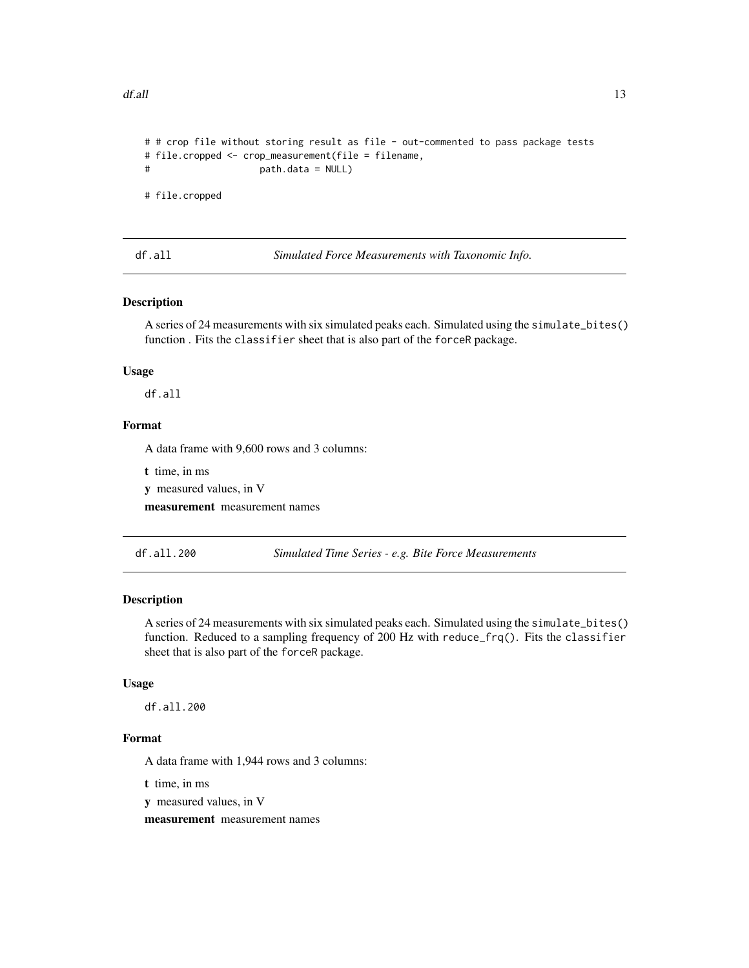```
# # crop file without storing result as file - out-commented to pass package tests
# file.cropped <- crop_measurement(file = filename,
# path.data = NULL)
# file.cropped
```
df.all *Simulated Force Measurements with Taxonomic Info.*

# Description

A series of 24 measurements with six simulated peaks each. Simulated using the simulate\_bites() function . Fits the classifier sheet that is also part of the forceR package.

#### Usage

df.all

#### Format

A data frame with 9,600 rows and 3 columns:

t time, in ms

y measured values, in V

measurement measurement names

df.all.200 *Simulated Time Series - e.g. Bite Force Measurements*

# Description

A series of 24 measurements with six simulated peaks each. Simulated using the simulate\_bites() function. Reduced to a sampling frequency of 200 Hz with reduce\_frq(). Fits the classifier sheet that is also part of the forceR package.

#### Usage

df.all.200

#### Format

A data frame with 1,944 rows and 3 columns:

t time, in ms

y measured values, in V

measurement measurement names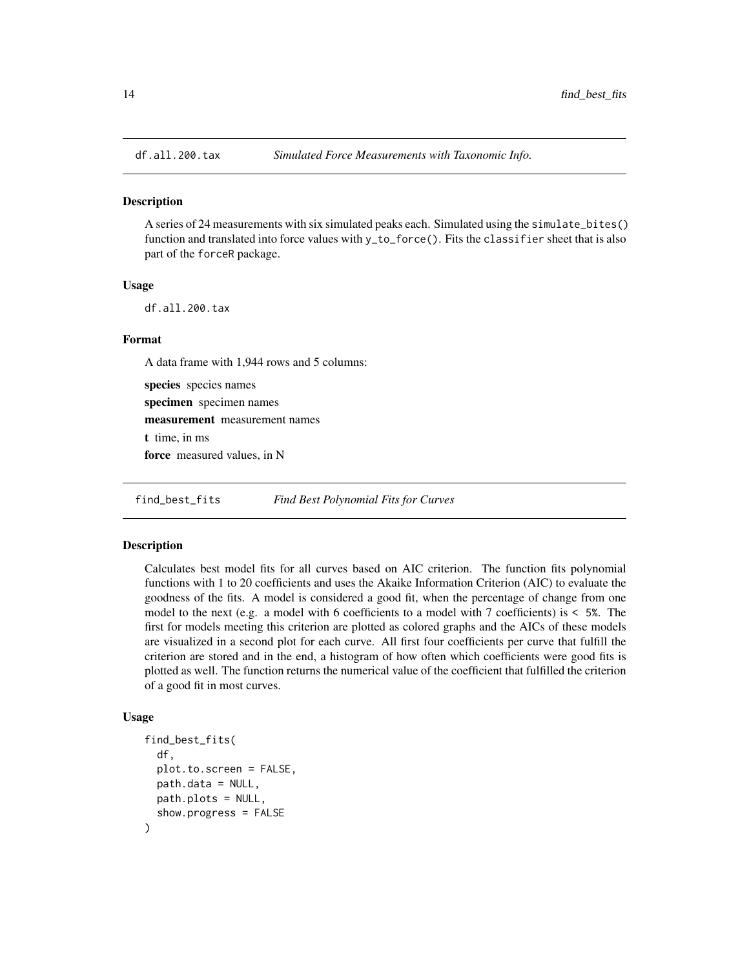<span id="page-13-0"></span>

# Description

A series of 24 measurements with six simulated peaks each. Simulated using the simulate\_bites() function and translated into force values with y\_to\_force(). Fits the classifier sheet that is also part of the forceR package.

#### Usage

df.all.200.tax

#### Format

A data frame with 1,944 rows and 5 columns:

species species names specimen specimen names measurement measurement names t time, in ms force measured values, in N

find\_best\_fits *Find Best Polynomial Fits for Curves*

#### Description

Calculates best model fits for all curves based on AIC criterion. The function fits polynomial functions with 1 to 20 coefficients and uses the Akaike Information Criterion (AIC) to evaluate the goodness of the fits. A model is considered a good fit, when the percentage of change from one model to the next (e.g. a model with 6 coefficients to a model with 7 coefficients) is  $\leq 5\%$ . The first for models meeting this criterion are plotted as colored graphs and the AICs of these models are visualized in a second plot for each curve. All first four coefficients per curve that fulfill the criterion are stored and in the end, a histogram of how often which coefficients were good fits is plotted as well. The function returns the numerical value of the coefficient that fulfilled the criterion of a good fit in most curves.

#### Usage

```
find_best_fits(
  df,
  plot.to.screen = FALSE,
  path.data = NULL,
 path.plots = NULL,
  show.progress = FALSE
)
```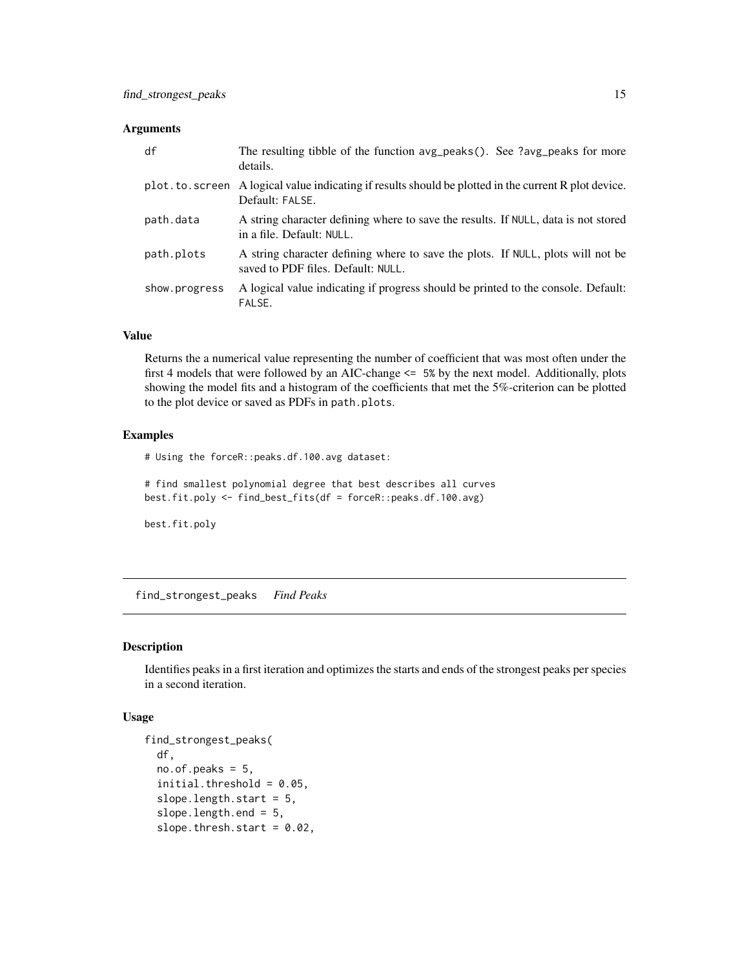#### <span id="page-14-0"></span>Arguments

| df             | The resulting tibble of the function avg_peaks(). See ?avg_peaks for more<br>details.                                 |
|----------------|-----------------------------------------------------------------------------------------------------------------------|
| plot.to.screen | A logical value indicating if results should be plotted in the current R plot device.<br>Default: FALSE.              |
| path.data      | A string character defining where to save the results. If NULL, data is not stored<br>in a file. Default: NULL.       |
| path.plots     | A string character defining where to save the plots. If NULL, plots will not be<br>saved to PDF files. Default: NULL. |
| show.progress  | A logical value indicating if progress should be printed to the console. Default:<br>FALSE.                           |

# Value

Returns the a numerical value representing the number of coefficient that was most often under the first 4 models that were followed by an AIC-change <= 5% by the next model. Additionally, plots showing the model fits and a histogram of the coefficients that met the 5%-criterion can be plotted to the plot device or saved as PDFs in path.plots.

#### Examples

# Using the forceR::peaks.df.100.avg dataset:

# find smallest polynomial degree that best describes all curves best.fit.poly <- find\_best\_fits(df = forceR::peaks.df.100.avg)

best.fit.poly

find\_strongest\_peaks *Find Peaks*

# Description

Identifies peaks in a first iteration and optimizes the starts and ends of the strongest peaks per species in a second iteration.

#### Usage

```
find_strongest_peaks(
 df,
 no. of. peaks = 5,initial.threshold = 0.05,
  slope.length.start = 5,
  slope.length.end = 5,
  slope.thresh.start = 0.02,
```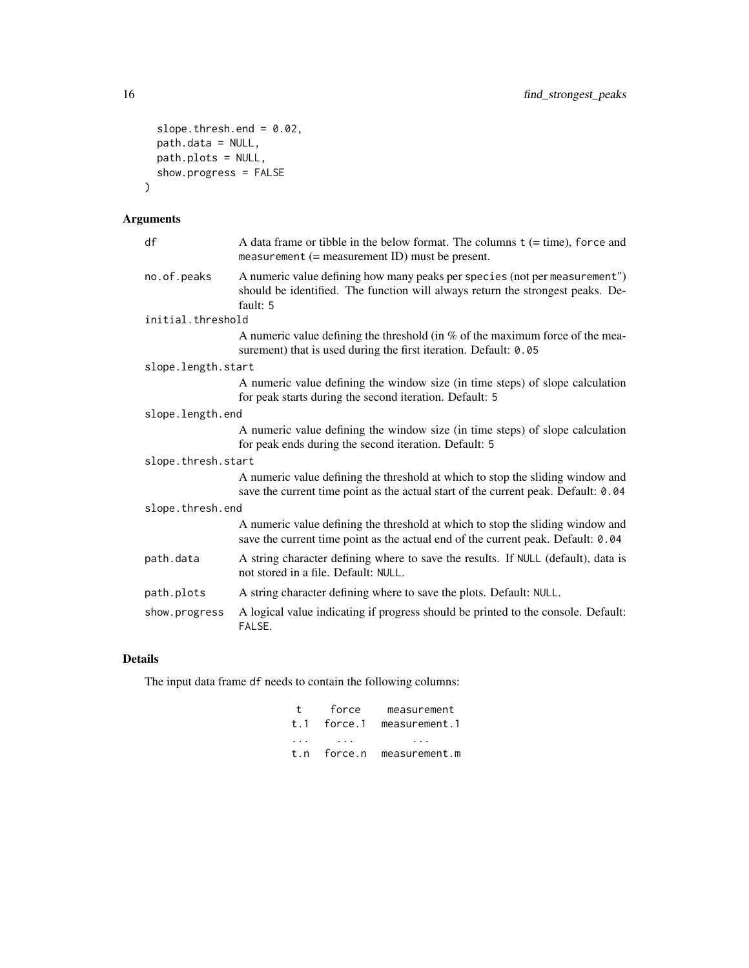```
slope.thresh.end = 0.02,
 path.data = NULL,
 path.plots = NULL,show.progress = FALSE
)
```
# Arguments

| df                 | A data frame or tibble in the below format. The columns $t$ (= time), force and<br>measurement $(=$ measurement ID) must be present.                                     |
|--------------------|--------------------------------------------------------------------------------------------------------------------------------------------------------------------------|
| no.of.peaks        | A numeric value defining how many peaks per species (not per measurement")<br>should be identified. The function will always return the strongest peaks. De-<br>fault: 5 |
| initial.threshold  |                                                                                                                                                                          |
|                    | A numeric value defining the threshold (in $%$ of the maximum force of the mea-<br>surement) that is used during the first iteration. Default: 0.05                      |
| slope.length.start |                                                                                                                                                                          |
|                    | A numeric value defining the window size (in time steps) of slope calculation<br>for peak starts during the second iteration. Default: 5                                 |
| slope.length.end   |                                                                                                                                                                          |
|                    | A numeric value defining the window size (in time steps) of slope calculation<br>for peak ends during the second iteration. Default: 5                                   |
| slope.thresh.start |                                                                                                                                                                          |
|                    | A numeric value defining the threshold at which to stop the sliding window and<br>save the current time point as the actual start of the current peak. Default: 0.04     |
| slope.thresh.end   |                                                                                                                                                                          |
|                    | A numeric value defining the threshold at which to stop the sliding window and<br>save the current time point as the actual end of the current peak. Default: 0.04       |
| path.data          | A string character defining where to save the results. If NULL (default), data is<br>not stored in a file. Default: NULL.                                                |
| path.plots         | A string character defining where to save the plots. Default: NULL.                                                                                                      |
| show.progress      | A logical value indicating if progress should be printed to the console. Default:<br>FALSE.                                                                              |

# Details

The input data frame df needs to contain the following columns:

| t        | force | measurement               |
|----------|-------|---------------------------|
|          |       | t.1 force.1 measurement.1 |
| $\cdots$ | .     | $\sim$ $\sim$ $\sim$      |
|          |       | t.n force.n measurement.m |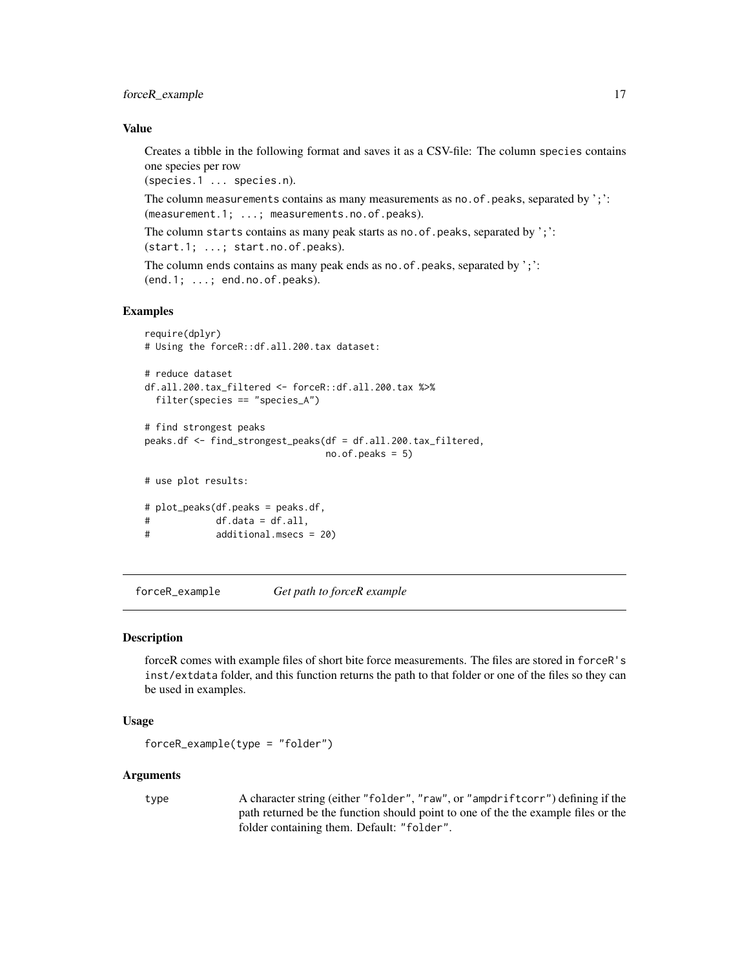#### <span id="page-16-0"></span>Value

Creates a tibble in the following format and saves it as a CSV-file: The column species contains one species per row

(species.1 ... species.n).

The column measurements contains as many measurements as no. of peaks, separated by ';': (measurement.1; ...; measurements.no.of.peaks).

The column starts contains as many peak starts as no. of. peaks, separated by ';':

(start.1; ...; start.no.of.peaks).

The column ends contains as many peak ends as no. of . peaks, separated by ';': (end.1; ...; end.no.of.peaks).

#### Examples

```
require(dplyr)
# Using the forceR::df.all.200.tax dataset:
# reduce dataset
df.all.200.tax_filtered <- forceR::df.all.200.tax %>%
 filter(species == "species_A")
# find strongest peaks
peaks.df <- find_strongest_peaks(df = df.all.200.tax_filtered,
                               no. of. peaks = 5)# use plot results:
# plot_peaks(df.peaks = peaks.df,
# df.data = df.all,
# additional.msecs = 20)
```
forceR\_example *Get path to forceR example*

#### Description

forceR comes with example files of short bite force measurements. The files are stored in forceR's inst/extdata folder, and this function returns the path to that folder or one of the files so they can be used in examples.

#### Usage

```
forceR_example(type = "folder")
```
#### Arguments

type A character string (either "folder", "raw", or "ampdriftcorr") defining if the path returned be the function should point to one of the the example files or the folder containing them. Default: "folder".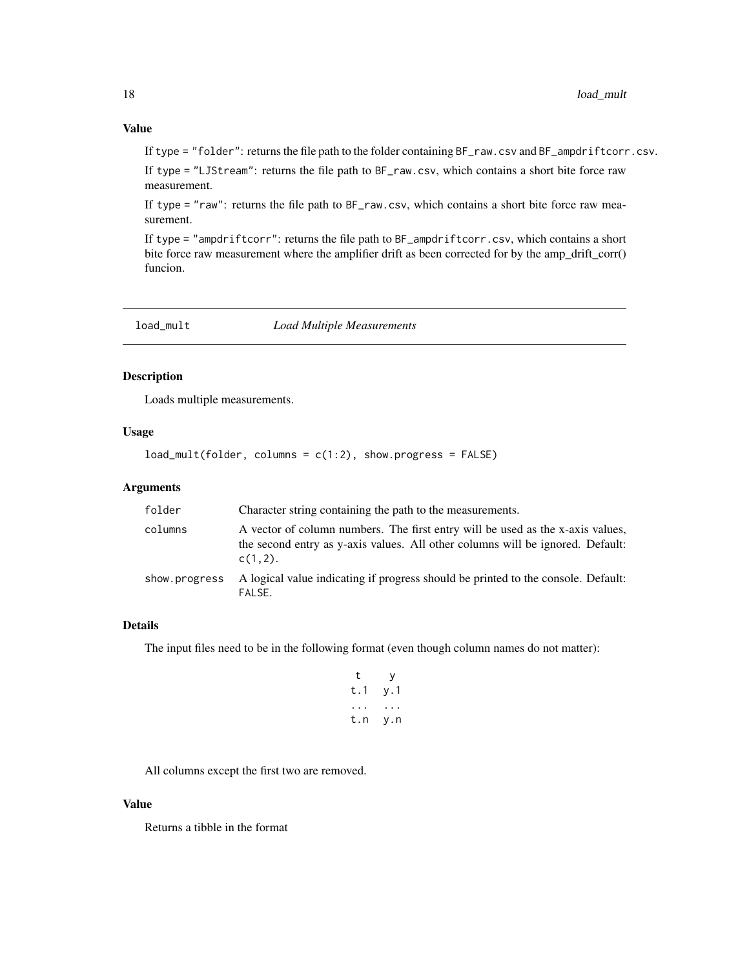<span id="page-17-0"></span>If type = "folder": returns the file path to the folder containing BF\_raw.csv and BF\_ampdriftcorr.csv.

If type = "LJStream": returns the file path to BF\_raw.csv, which contains a short bite force raw measurement.

If type = "raw": returns the file path to BF\_raw.csv, which contains a short bite force raw measurement.

If type = "ampdriftcorr": returns the file path to BF\_ampdriftcorr.csv, which contains a short bite force raw measurement where the amplifier drift as been corrected for by the amp\_drift\_corr() funcion.

| load_mult | <b>Load Multiple Measurements</b> |
|-----------|-----------------------------------|
|-----------|-----------------------------------|

# Description

Loads multiple measurements.

#### Usage

 $load\_mult(folder, columns = c(1:2), show progress = FALSE)$ 

#### Arguments

| folder        | Character string containing the path to the measurements.                                                                                                                      |
|---------------|--------------------------------------------------------------------------------------------------------------------------------------------------------------------------------|
| columns       | A vector of column numbers. The first entry will be used as the x-axis values,<br>the second entry as y-axis values. All other columns will be ignored. Default:<br>$c(1,2)$ . |
| show.progress | A logical value indicating if progress should be printed to the console. Default:<br>FALSE.                                                                                    |

# Details

The input files need to be in the following format (even though column names do not matter):

| t   | у   |
|-----|-----|
| t.1 | y.1 |
|     |     |
| t.n | y.n |

All columns except the first two are removed.

#### Value

Returns a tibble in the format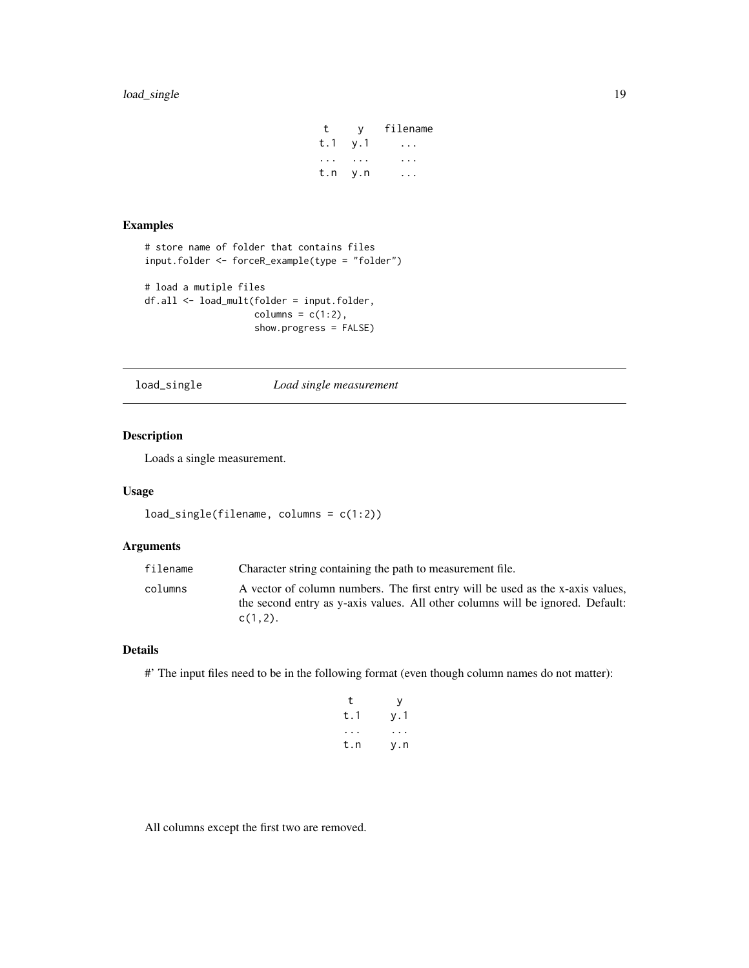# <span id="page-18-0"></span>load\_single 19

t y filename t.1 y.1 ... ... ... ... t.n y.n ...

# Examples

```
# store name of folder that contains files
input.folder <- forceR_example(type = "folder")
# load a mutiple files
df.all <- load_mult(folder = input.folder,
                    columns = c(1:2),
                    show.progress = FALSE)
```
load\_single *Load single measurement*

# Description

Loads a single measurement.

# Usage

```
load_single(filename, columns = c(1:2))
```
# Arguments

| Character string containing the path to measurement file.<br>filename                                                                                                                     |  |
|-------------------------------------------------------------------------------------------------------------------------------------------------------------------------------------------|--|
| A vector of column numbers. The first entry will be used as the x-axis values,<br>columns<br>the second entry as y-axis values. All other columns will be ignored. Default:<br>$c(1,2)$ . |  |

#### Details

#' The input files need to be in the following format (even though column names do not matter):

| t   | у   |
|-----|-----|
| t.1 | y.1 |
|     |     |
| t.n | y.n |

All columns except the first two are removed.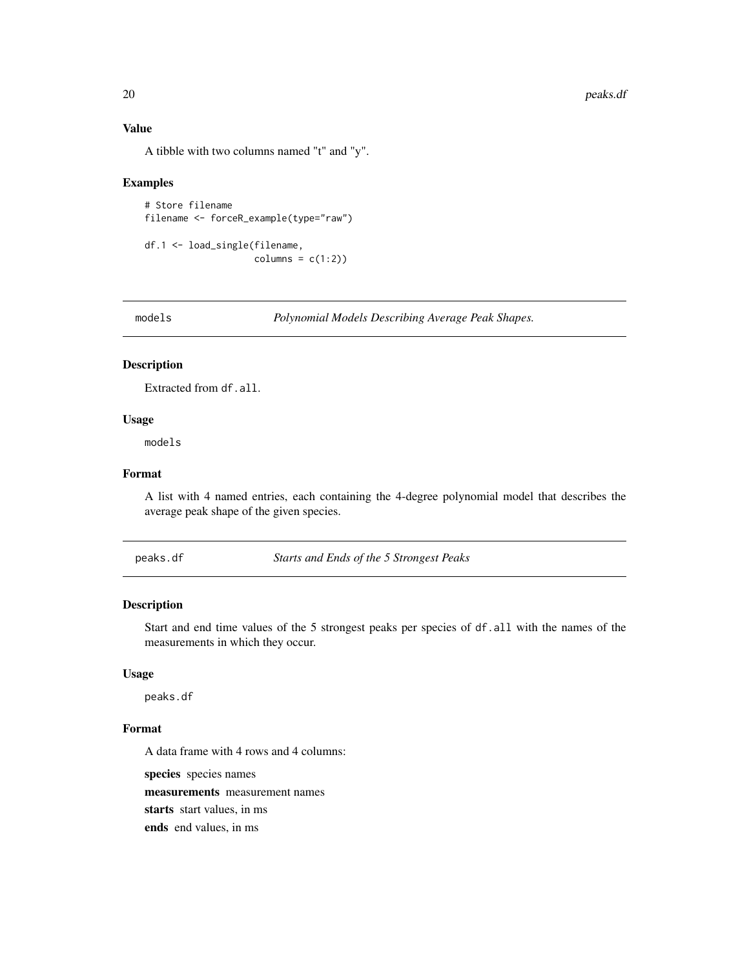# Value

A tibble with two columns named "t" and "y".

# Examples

```
# Store filename
filename <- forceR_example(type="raw")
```

```
df.1 <- load_single(filename,
                   columns = c(1:2))
```
models *Polynomial Models Describing Average Peak Shapes.*

# Description

Extracted from df.all.

#### Usage

models

# Format

A list with 4 named entries, each containing the 4-degree polynomial model that describes the average peak shape of the given species.

peaks.df *Starts and Ends of the 5 Strongest Peaks*

# Description

Start and end time values of the 5 strongest peaks per species of df.all with the names of the measurements in which they occur.

#### Usage

peaks.df

# Format

A data frame with 4 rows and 4 columns:

species species names measurements measurement names starts start values, in ms ends end values, in ms

<span id="page-19-0"></span>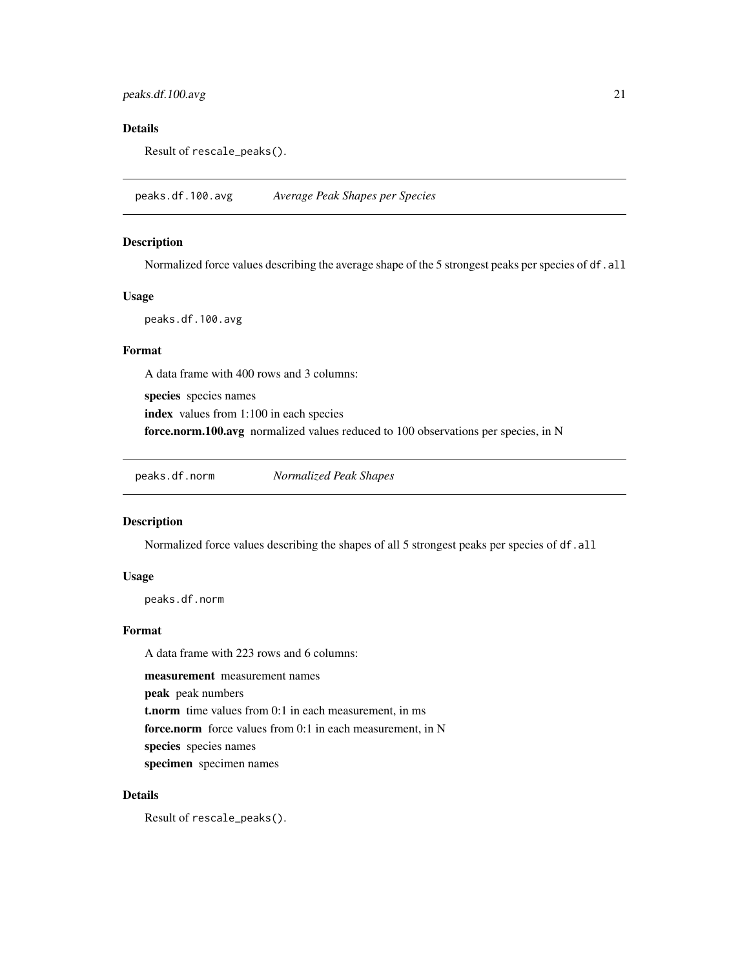# <span id="page-20-0"></span>Details

Result of rescale\_peaks().

peaks.df.100.avg *Average Peak Shapes per Species*

# Description

Normalized force values describing the average shape of the 5 strongest peaks per species of df.all

# Usage

peaks.df.100.avg

# Format

A data frame with 400 rows and 3 columns:

species species names

index values from 1:100 in each species

force.norm.100.avg normalized values reduced to 100 observations per species, in N

peaks.df.norm *Normalized Peak Shapes*

#### Description

Normalized force values describing the shapes of all 5 strongest peaks per species of df.all

#### Usage

peaks.df.norm

# Format

A data frame with 223 rows and 6 columns:

measurement measurement names

peak peak numbers

t.norm time values from 0:1 in each measurement, in ms

force.norm force values from 0:1 in each measurement, in N

species species names

specimen specimen names

# Details

Result of rescale\_peaks().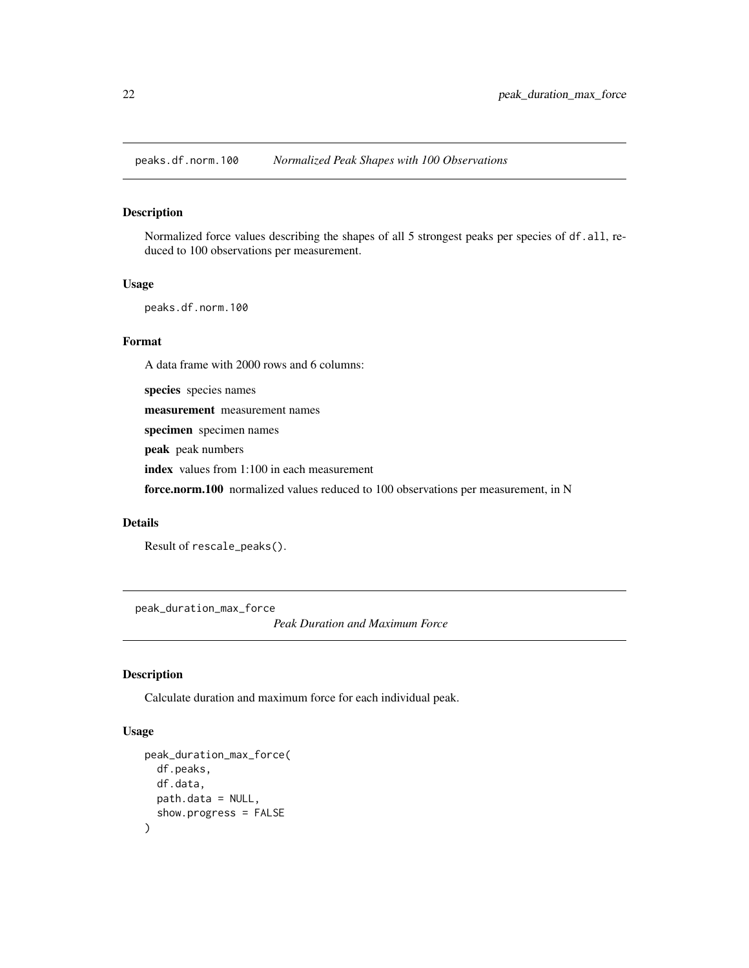<span id="page-21-0"></span>peaks.df.norm.100 *Normalized Peak Shapes with 100 Observations*

#### Description

Normalized force values describing the shapes of all 5 strongest peaks per species of df.all, reduced to 100 observations per measurement.

#### Usage

peaks.df.norm.100

#### Format

A data frame with 2000 rows and 6 columns:

species species names

measurement measurement names

specimen specimen names

peak peak numbers

index values from 1:100 in each measurement

force.norm.100 normalized values reduced to 100 observations per measurement, in N

#### Details

```
Result of rescale_peaks().
```
peak\_duration\_max\_force

*Peak Duration and Maximum Force*

# Description

Calculate duration and maximum force for each individual peak.

#### Usage

```
peak_duration_max_force(
  df.peaks,
  df.data,
 path.data = NULL,
  show.progress = FALSE
\mathcal{E}
```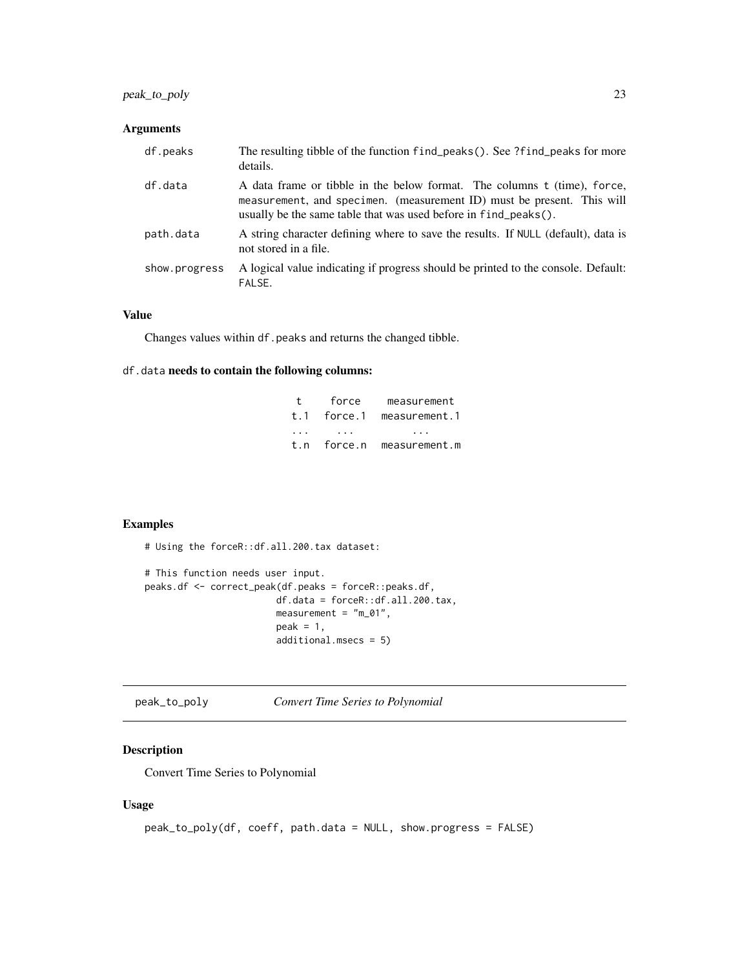# <span id="page-22-0"></span>peak\_to\_poly 23

# Arguments

| df.peaks      | The resulting tibble of the function find_peaks(). See ?find_peaks for more<br>details.                                                                                                                               |
|---------------|-----------------------------------------------------------------------------------------------------------------------------------------------------------------------------------------------------------------------|
| df.data       | A data frame or tibble in the below format. The columns t (time), force,<br>measurement, and specimen. (measurement ID) must be present. This will<br>usually be the same table that was used before in find_peaks(). |
| path.data     | A string character defining where to save the results. If NULL (default), data is<br>not stored in a file.                                                                                                            |
| show.progress | A logical value indicating if progress should be printed to the console. Default:<br>FALSE.                                                                                                                           |

#### Value

Changes values within df.peaks and returns the changed tibble.

# df.data needs to contain the following columns:

| $\pm$    | force       | measurement   |
|----------|-------------|---------------|
| t. 1     | force.1     | measurement.1 |
| $\cdots$ |             | .             |
|          | t.n force.n | measurement.m |

# Examples

# Using the forceR::df.all.200.tax dataset:

```
# This function needs user input.
peaks.df <- correct_peak(df.peaks = forceR::peaks.df,
                       df.data = forceR::df.all.200.tax,
                       measurement = "m_01",
                       peak = 1,additional.msecs = 5)
```
peak\_to\_poly *Convert Time Series to Polynomial*

# Description

Convert Time Series to Polynomial

#### Usage

```
peak_to_poly(df, coeff, path.data = NULL, show.progress = FALSE)
```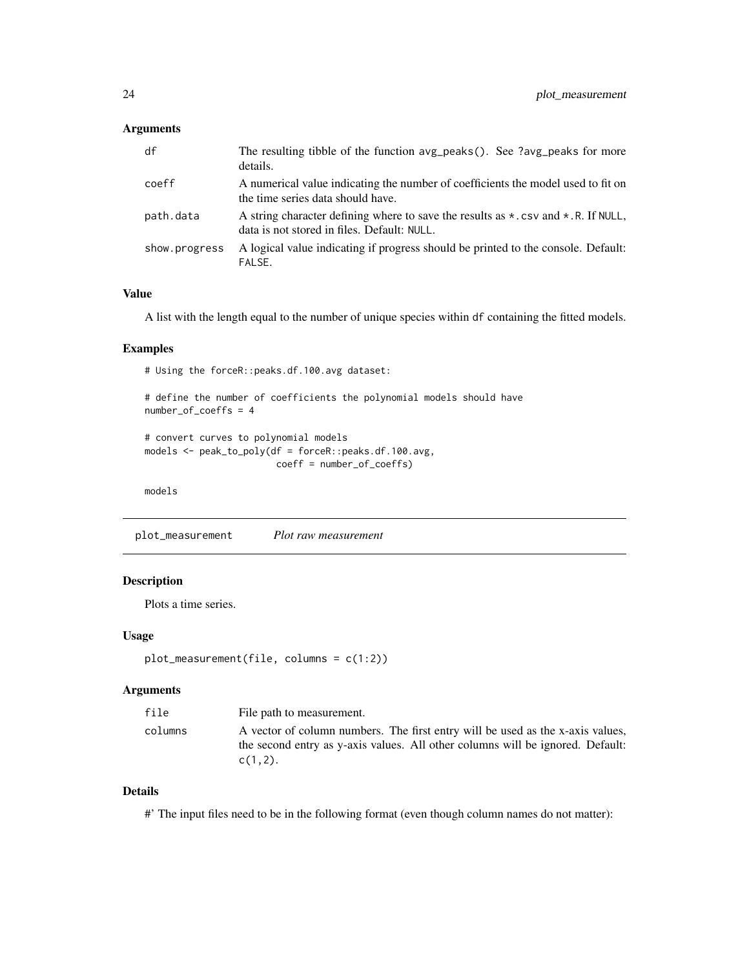# <span id="page-23-0"></span>Arguments

| df            | The resulting tibble of the function avg_peaks(). See ?avg_peaks for more<br>details.                                                           |
|---------------|-------------------------------------------------------------------------------------------------------------------------------------------------|
| coeff         | A numerical value indicating the number of coefficients the model used to fit on<br>the time series data should have.                           |
| path.data     | A string character defining where to save the results as $\star$ . csv and $\star$ . R. If NULL,<br>data is not stored in files. Default: NULL. |
| show.progress | A logical value indicating if progress should be printed to the console. Default:<br>FALSE.                                                     |

#### Value

A list with the length equal to the number of unique species within df containing the fitted models.

#### Examples

# Using the forceR::peaks.df.100.avg dataset:

```
# define the number of coefficients the polynomial models should have
number_of_coeffs = 4
```

```
# convert curves to polynomial models
models <- peak_to_poly(df = forceR::peaks.df.100.avg,
                       coeff = number_of_coeffs)
```
models

plot\_measurement *Plot raw measurement*

### Description

Plots a time series.

#### Usage

```
plot_measurement(file, columns = c(1:2))
```
#### Arguments

| file    | File path to measurement.                                                                                                                                                      |
|---------|--------------------------------------------------------------------------------------------------------------------------------------------------------------------------------|
| columns | A vector of column numbers. The first entry will be used as the x-axis values,<br>the second entry as y-axis values. All other columns will be ignored. Default:<br>$C(1,2)$ . |

# Details

#' The input files need to be in the following format (even though column names do not matter):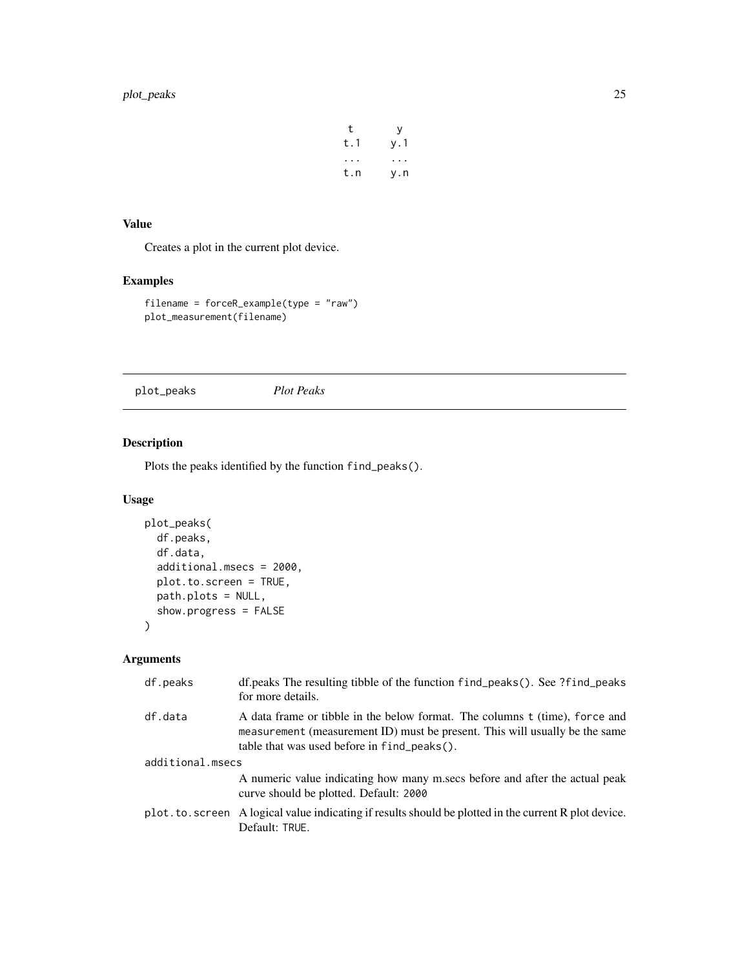# <span id="page-24-0"></span>plot\_peaks 25

| t   | у   |
|-----|-----|
| t.1 | y.1 |
|     |     |
| t.n | y.n |

# Value

Creates a plot in the current plot device.

# Examples

```
filename = forceR_example(type = "raw")
plot_measurement(filename)
```
plot\_peaks *Plot Peaks*

# Description

Plots the peaks identified by the function find\_peaks().

# Usage

```
plot_peaks(
 df.peaks,
 df.data,
  additional.msecs = 2000,
 plot.to.screen = TRUE,
 path.plots = NULL,
  show.progress = FALSE
)
```
# Arguments

| df.peaks         | df.peaks The resulting tibble of the function find_peaks(). See ?find_peaks<br>for more details.                                                                                                             |
|------------------|--------------------------------------------------------------------------------------------------------------------------------------------------------------------------------------------------------------|
| df.data          | A data frame or tibble in the below format. The columns t (time), force and<br>measurement (measurement ID) must be present. This will usually be the same<br>table that was used before in $find_peaks()$ . |
| additional.msecs |                                                                                                                                                                                                              |
|                  | A numeric value indicating how many mises before and after the actual peak<br>curve should be plotted. Default: 2000                                                                                         |
|                  | plot. to. screen A logical value indicating if results should be plotted in the current R plot device.<br>Default: TRUE.                                                                                     |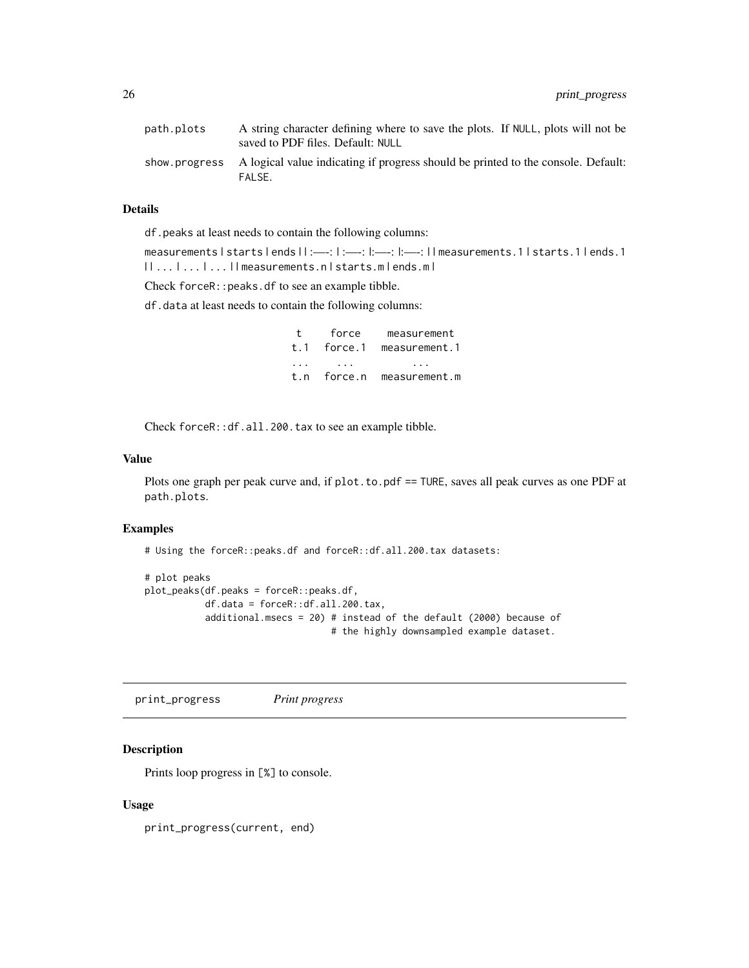<span id="page-25-0"></span>

| path.plots | A string character defining where to save the plots. If NULL, plots will not be<br>saved to PDF files. Default: NULL |
|------------|----------------------------------------------------------------------------------------------------------------------|
|            | show progress A logical value indicating if progress should be printed to the console. Default:<br>FALSE.            |

# Details

df.peaks at least needs to contain the following columns:

measurements | starts | ends | | :—-: | :—-: |:—-: |:—-: | | measurements.1 | starts.1 | ends.1 | | ... | ... | ... | | measurements.n | starts.m | ends.m |

Check forceR::peaks.df to see an example tibble.

df.data at least needs to contain the following columns:

| $\ddot{\mathbf{t}}$ | force       | measurement   |
|---------------------|-------------|---------------|
| t.1                 | force.1     | measurement.1 |
| .                   |             |               |
|                     | t.n force.n | measurement.m |

Check forceR::df.all.200.tax to see an example tibble.

#### Value

Plots one graph per peak curve and, if plot.to.pdf == TURE, saves all peak curves as one PDF at path.plots.

#### Examples

# Using the forceR::peaks.df and forceR::df.all.200.tax datasets:

```
# plot peaks
plot_peaks(df.peaks = forceR::peaks.df,
          df.data = forceR::df.all.200.tax,
          additional.msecs = 20) # instead of the default (2000) because of
                                  # the highly downsampled example dataset.
```
print\_progress *Print progress*

# Description

Prints loop progress in [%] to console.

#### Usage

print\_progress(current, end)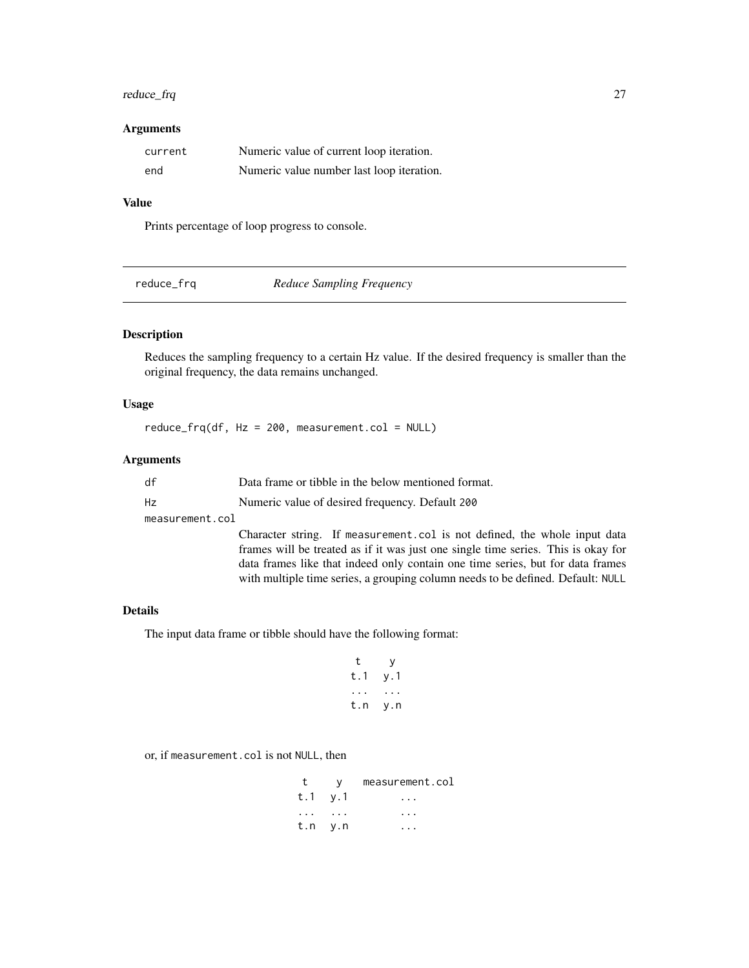# <span id="page-26-0"></span>reduce\_frq 27

#### Arguments

| current | Numeric value of current loop iteration.  |
|---------|-------------------------------------------|
| end     | Numeric value number last loop iteration. |

# Value

Prints percentage of loop progress to console.

| reduce_frq | <b>Reduce Sampling Frequency</b> |
|------------|----------------------------------|
|            |                                  |

# Description

Reduces the sampling frequency to a certain Hz value. If the desired frequency is smaller than the original frequency, the data remains unchanged.

# Usage

 $reduce_frq(df, Hz = 200, measurement.col = NULL)$ 

#### Arguments

| df | Data frame or tibble in the below mentioned format |
|----|----------------------------------------------------|
| Hz | Numeric value of desired frequency. Default 200    |

measurement.col

Character string. If measurement.col is not defined, the whole input data frames will be treated as if it was just one single time series. This is okay for data frames like that indeed only contain one time series, but for data frames with multiple time series, a grouping column needs to be defined. Default: NULL

### Details

The input data frame or tibble should have the following format:

t y t.1 y.1 ... ... t.n y.n

or, if measurement.col is not NULL, then

| t                                 | V –     | measurement.col |
|-----------------------------------|---------|-----------------|
| t.1 v.1                           |         |                 |
| $\cdot \cdot \cdot$ $\cdot \cdot$ |         |                 |
|                                   | t.n v.n |                 |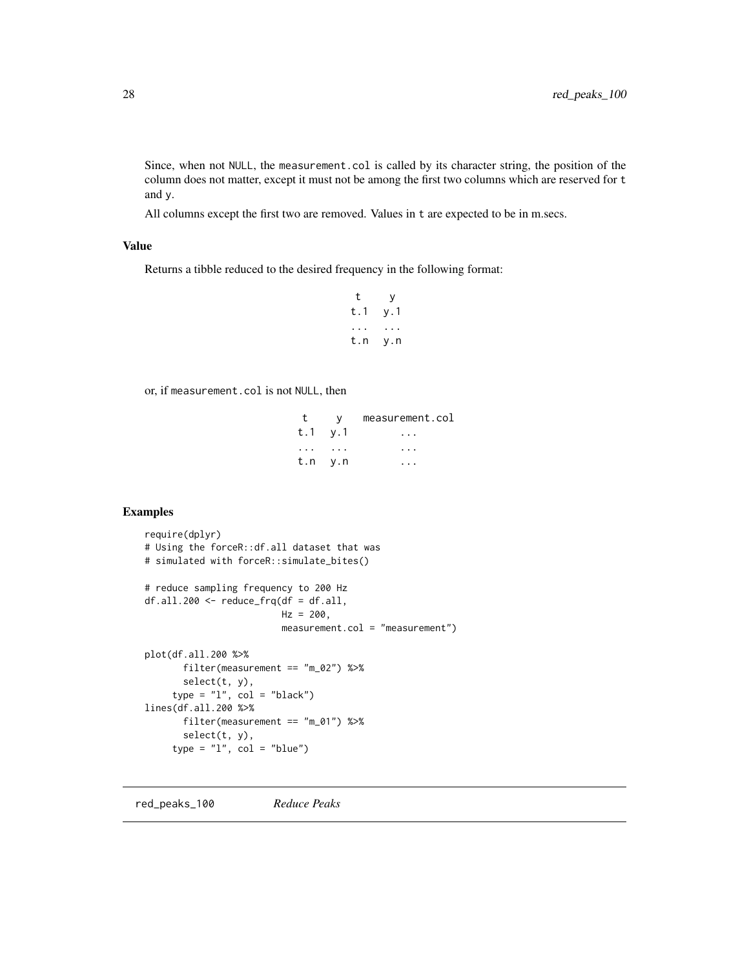<span id="page-27-0"></span>Since, when not NULL, the measurement.col is called by its character string, the position of the column does not matter, except it must not be among the first two columns which are reserved for t and y.

All columns except the first two are removed. Values in t are expected to be in m.secs.

# Value

Returns a tibble reduced to the desired frequency in the following format:

```
t y
t.1 y.1
... ...
t.n y.n
```
or, if measurement.col is not NULL, then

|                                   | V       | measurement.col |
|-----------------------------------|---------|-----------------|
| t.1 v.1                           |         |                 |
| $\cdot \cdot \cdot$ $\cdot \cdot$ |         |                 |
|                                   | t.n y.n |                 |

# Examples

```
require(dplyr)
# Using the forceR::df.all dataset that was
# simulated with forceR::simulate_bites()
# reduce sampling frequency to 200 Hz
df. all.200 < - reduce_frq(df = df.all,
                        Hz = 200,
                        measurement.col = "measurement")
plot(df.all.200 %>%
      filter(measurement == "m_02") %>%
      select(t, y),
    type = "1", col = "black")lines(df.all.200 %>%
      filter(measurement == "m_01") %>%
      select(t, y),
     type = "l", col = "blue")
```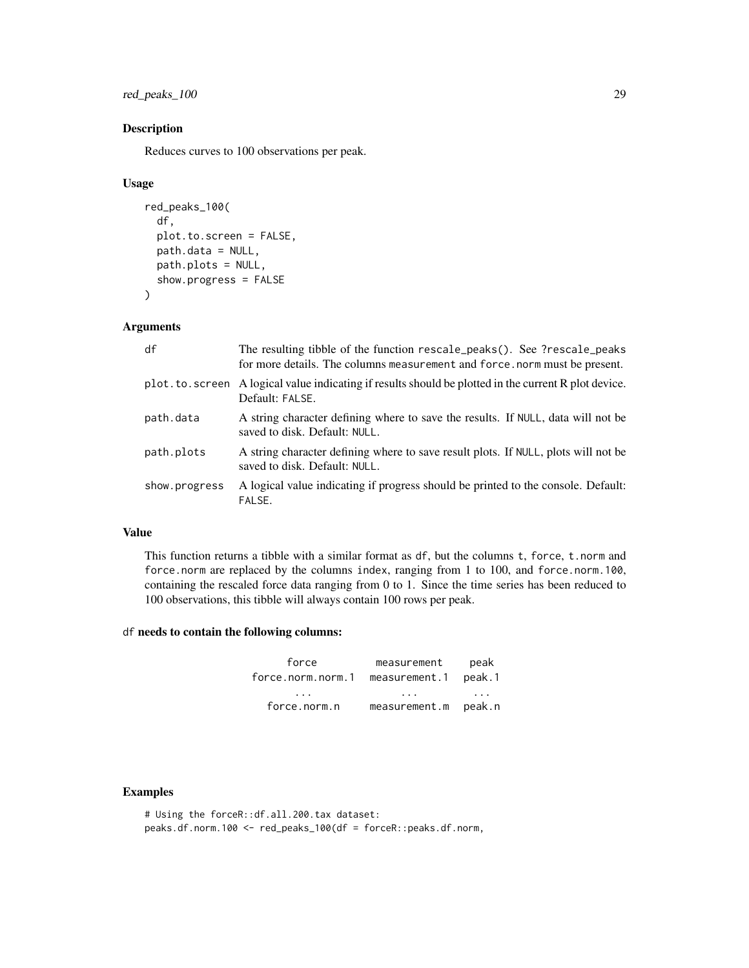red\_peaks\_100 29

# Description

Reduces curves to 100 observations per peak.

#### Usage

```
red_peaks_100(
  df,
  plot.to.screen = FALSE,
 path.data = NULL,
  path.plots = NULL,
  show.progress = FALSE
\lambda
```
# Arguments

| df             | The resulting tibble of the function rescale_peaks(). See ?rescale_peaks<br>for more details. The columns measurement and force norm must be present. |
|----------------|-------------------------------------------------------------------------------------------------------------------------------------------------------|
| plot.to.screen | A logical value indicating if results should be plotted in the current R plot device.<br>Default: FALSE.                                              |
| path.data      | A string character defining where to save the results. If NULL, data will not be<br>saved to disk. Default: NULL.                                     |
| path.plots     | A string character defining where to save result plots. If NULL, plots will not be<br>saved to disk. Default: NULL.                                   |
| show.progress  | A logical value indicating if progress should be printed to the console. Default:<br>FALSE.                                                           |

# Value

This function returns a tibble with a similar format as df, but the columns t, force, t.norm and force.norm are replaced by the columns index, ranging from 1 to 100, and force.norm.100, containing the rescaled force data ranging from 0 to 1. Since the time series has been reduced to 100 observations, this tibble will always contain 100 rows per peak.

# df needs to contain the following columns:

| force             | measurement   | peak   |
|-------------------|---------------|--------|
| force.norm.norm.1 | measurement.1 | peak.1 |
| .                 | .             | .      |
| force.norm.n      | measurement.m | peak.n |

#### Examples

# Using the forceR::df.all.200.tax dataset: peaks.df.norm.100 <- red\_peaks\_100(df = forceR::peaks.df.norm,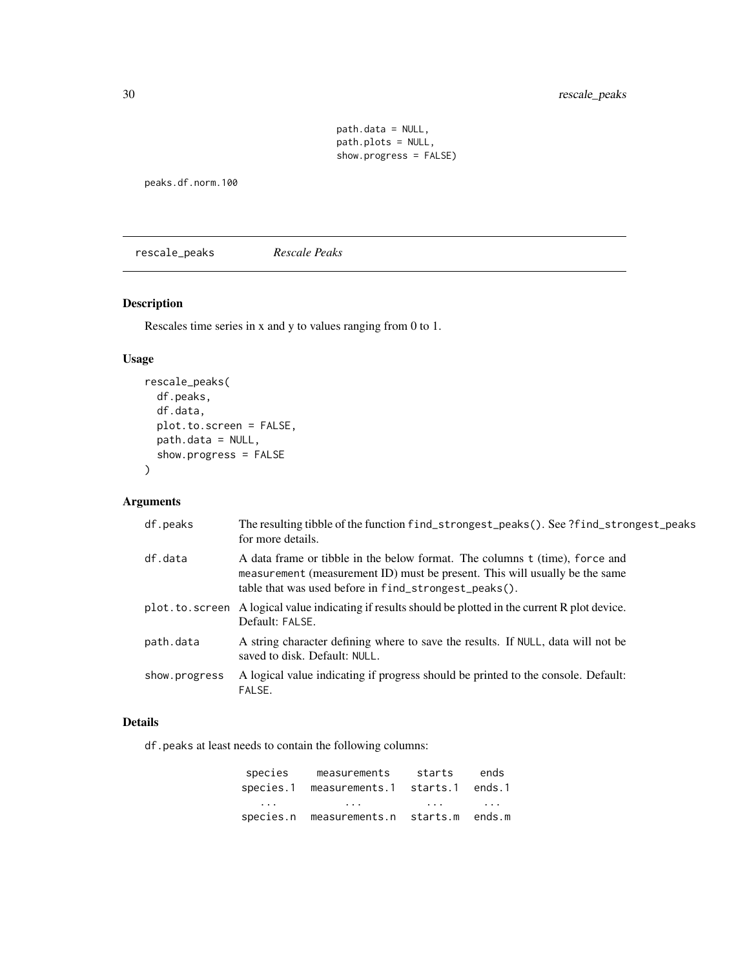# <span id="page-29-0"></span>30 rescale\_peaks

path.data = NULL, path.plots = NULL, show.progress = FALSE)

peaks.df.norm.100

rescale\_peaks *Rescale Peaks*

# Description

Rescales time series in x and y to values ranging from 0 to 1.

# Usage

```
rescale_peaks(
 df.peaks,
 df.data,
 plot.to.screen = FALSE,
 path.data = NULL,
  show.progress = FALSE
)
```
# Arguments

| df.peaks      | The resulting tibble of the function find_strongest_peaks(). See ?find_strongest_peaks<br>for more details.                                                                                                         |
|---------------|---------------------------------------------------------------------------------------------------------------------------------------------------------------------------------------------------------------------|
| df.data       | A data frame or tibble in the below format. The columns t (time), force and<br>measurement (measurement ID) must be present. This will usually be the same<br>table that was used before in find_strongest_peaks(). |
|               | plot. to. screen A logical value indicating if results should be plotted in the current R plot device.<br>Default: FALSE.                                                                                           |
| path.data     | A string character defining where to save the results. If NULL, data will not be<br>saved to disk. Default: NULL.                                                                                                   |
| show.progress | A logical value indicating if progress should be printed to the console. Default:<br>FALSE.                                                                                                                         |

#### Details

df.peaks at least needs to contain the following columns:

| species                 | measurements                      | starts                  | ends     |
|-------------------------|-----------------------------------|-------------------------|----------|
|                         | species.1 measurements.1          | starts.1 ends.1         |          |
| $\cdot$ $\cdot$ $\cdot$ | $\cdot$ $\cdot$ $\cdot$           | $\cdot$ $\cdot$ $\cdot$ | $\cdots$ |
|                         | species.n measurements.n starts.m |                         | ends.m   |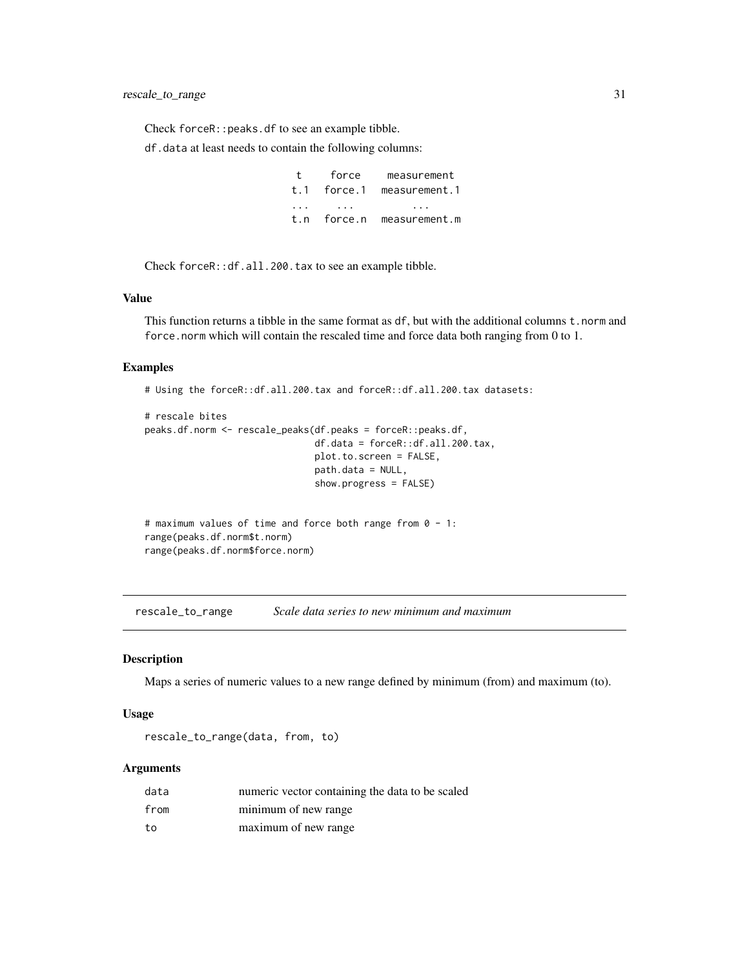<span id="page-30-0"></span>Check forceR::peaks.df to see an example tibble.

df.data at least needs to contain the following columns:

t force measurement t.1 force.1 measurement.1 ... ... ... t.n force.n measurement.m

Check forceR::df.all.200.tax to see an example tibble.

#### Value

This function returns a tibble in the same format as df, but with the additional columns t.norm and force.norm which will contain the rescaled time and force data both ranging from 0 to 1.

#### Examples

# Using the forceR::df.all.200.tax and forceR::df.all.200.tax datasets:

```
# rescale bites
peaks.df.norm <- rescale_peaks(df.peaks = forceR::peaks.df,
                               df.data = forceR::df.all.200.tax,
                               plot.to.screen = FALSE,
                               path.data = NULL,
                               show.progress = FALSE)
```
# maximum values of time and force both range from 0 - 1: range(peaks.df.norm\$t.norm) range(peaks.df.norm\$force.norm)

rescale\_to\_range *Scale data series to new minimum and maximum*

# Description

Maps a series of numeric values to a new range defined by minimum (from) and maximum (to).

#### Usage

rescale\_to\_range(data, from, to)

# Arguments

| data | numeric vector containing the data to be scaled |
|------|-------------------------------------------------|
| from | minimum of new range                            |
| to   | maximum of new range                            |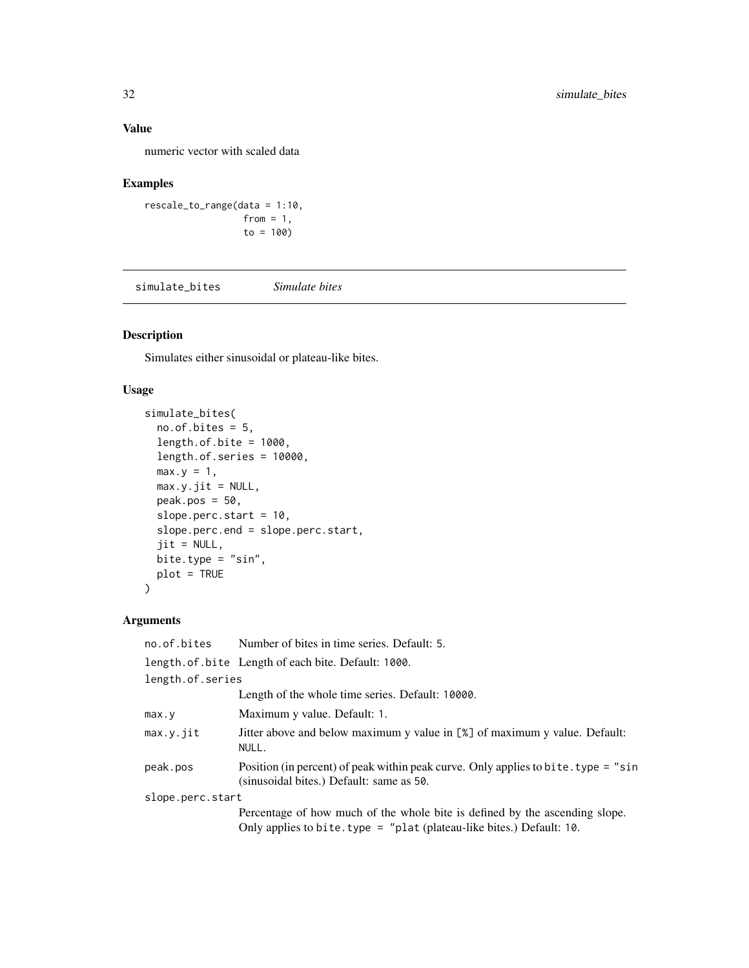# <span id="page-31-0"></span>Value

numeric vector with scaled data

# Examples

```
rescale_to_range(data = 1:10,
                 from = 1,
                 to = 100
```
simulate\_bites *Simulate bites*

# Description

Simulates either sinusoidal or plateau-like bites.

# Usage

```
simulate_bites(
 no. of. bits = 5,length.of.bite = 1000,
 length.of.series = 10000,
 max.y = 1,
 max.y.jit = NULL,peak.pos = 50,
  slope.perc.start = 10,
  slope.perc.end = slope.perc.start,
  jit = NULL,
 bite.type = "sin",
 plot = TRUE
)
```
# Arguments

| no.of.bites      | Number of bites in time series. Default: 5.                                                                                    |  |  |
|------------------|--------------------------------------------------------------------------------------------------------------------------------|--|--|
|                  | length.of.bite Length of each bite. Default: 1000.                                                                             |  |  |
| length.of.series |                                                                                                                                |  |  |
|                  | Length of the whole time series. Default: 10000.                                                                               |  |  |
| max.y            | Maximum y value. Default: 1.                                                                                                   |  |  |
| max.v.iit        | Jitter above and below maximum y value in [%] of maximum y value. Default:<br>NULL.                                            |  |  |
| peak.pos         | Position (in percent) of peak within peak curve. Only applies to bite. type = "sin<br>(sinusoidal bites.) Default: same as 50. |  |  |
| slope.perc.start |                                                                                                                                |  |  |
|                  | Percentage of how much of the whole bite is defined by the ascending slope.                                                    |  |  |
|                  | Only applies to bite. type = "plat (plateau-like bites.) Default: 10.                                                          |  |  |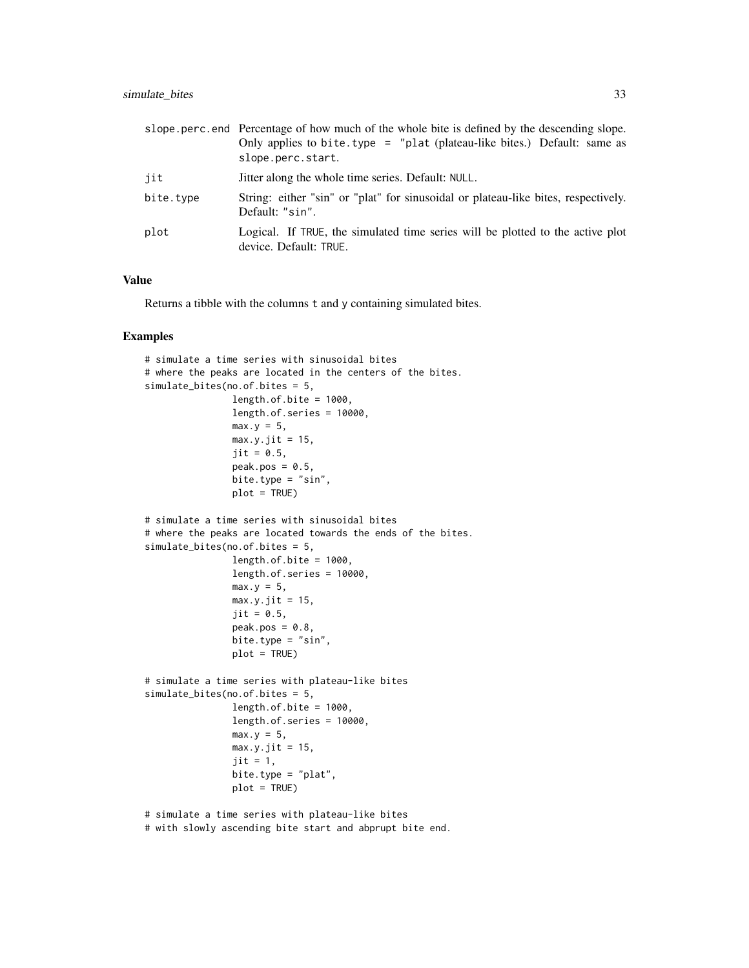#### simulate\_bites 33

|           | slope perc. end Percentage of how much of the whole bite is defined by the descending slope.<br>Only applies to bite.type = "plat (plateau-like bites.) Default: same as<br>slope.perc.start. |  |  |  |
|-----------|-----------------------------------------------------------------------------------------------------------------------------------------------------------------------------------------------|--|--|--|
| iit       | Jitter along the whole time series. Default: NULL.                                                                                                                                            |  |  |  |
| bite.type | String: either "sin" or "plat" for sinusoidal or plateau-like bites, respectively.<br>Default: "sin".                                                                                         |  |  |  |
| plot      | Logical. If TRUE, the simulated time series will be plotted to the active plot<br>device. Default: TRUE.                                                                                      |  |  |  |

#### Value

Returns a tibble with the columns t and y containing simulated bites.

#### Examples

```
# simulate a time series with sinusoidal bites
# where the peaks are located in the centers of the bites.
simulate_bites(no.of.bites = 5,
                length. of. bite = <math>1000</math>,length.of.series = 10000,
                max.y = 5,
                max.y.jit = 15,
                jit = 0.5,
                peak.pos = 0.5,
                bite.type = "sin",
                plot = TRUE)
# simulate a time series with sinusoidal bites
# where the peaks are located towards the ends of the bites.
simulate_bites(no.of.bites = 5,
                length.of.bite = 1000,
                length.of.series = 10000,
                max.y = 5,
                max.y.jit = 15,
                jit = 0.5,
                peak.pos = 0.8,
                bite.type = "sin",
                plot = TRUE)
# simulate a time series with plateau-like bites
simulate_bites(no.of.bites = 5,
                length.of.bite = 1000,
                length.of.series = 10000,
                max.y = 5,
                max.y.jit = 15,
                jit = 1,bite.type = "plat",
                plot = TRUE)
# simulate a time series with plateau-like bites
```
# with slowly ascending bite start and abprupt bite end.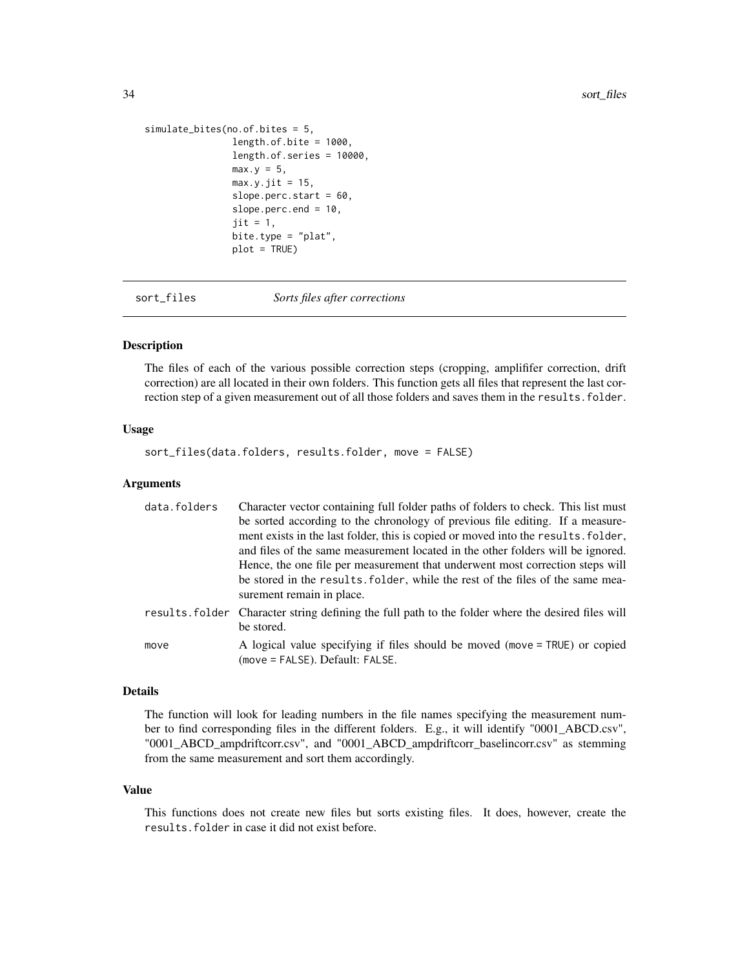```
simulate_bites(no.of.bites = 5,
               length.of.bite = 1000,
                length.of.series = 10000,
               max.y = 5,
               max.y.jit = 15,
                slope.perc.start = 60,
                slope.perc.end = 10,
                jit = 1,bite.type = "plat",
                plot = TRUE)
```
sort\_files *Sorts files after corrections*

#### Description

The files of each of the various possible correction steps (cropping, amplififer correction, drift correction) are all located in their own folders. This function gets all files that represent the last correction step of a given measurement out of all those folders and saves them in the results. folder.

#### Usage

sort\_files(data.folders, results.folder, move = FALSE)

#### Arguments

| data.folders | Character vector containing full folder paths of folders to check. This list must                                |
|--------------|------------------------------------------------------------------------------------------------------------------|
|              | be sorted according to the chronology of previous file editing. If a measure-                                    |
|              | ment exists in the last folder, this is copied or moved into the results. folder,                                |
|              | and files of the same measurement located in the other folders will be ignored.                                  |
|              | Hence, the one file per measurement that underwent most correction steps will                                    |
|              | be stored in the results. folder, while the rest of the files of the same mea-<br>surement remain in place.      |
|              | results. Folder Character string defining the full path to the folder where the desired files will<br>be stored. |
| move         | A logical value specifying if files should be moved (move = TRUE) or copied<br>(move = FALSE). Default: FALSE.   |

# Details

The function will look for leading numbers in the file names specifying the measurement number to find corresponding files in the different folders. E.g., it will identify "0001\_ABCD.csv", "0001\_ABCD\_ampdriftcorr.csv", and "0001\_ABCD\_ampdriftcorr\_baselincorr.csv" as stemming from the same measurement and sort them accordingly.

#### Value

This functions does not create new files but sorts existing files. It does, however, create the results.folder in case it did not exist before.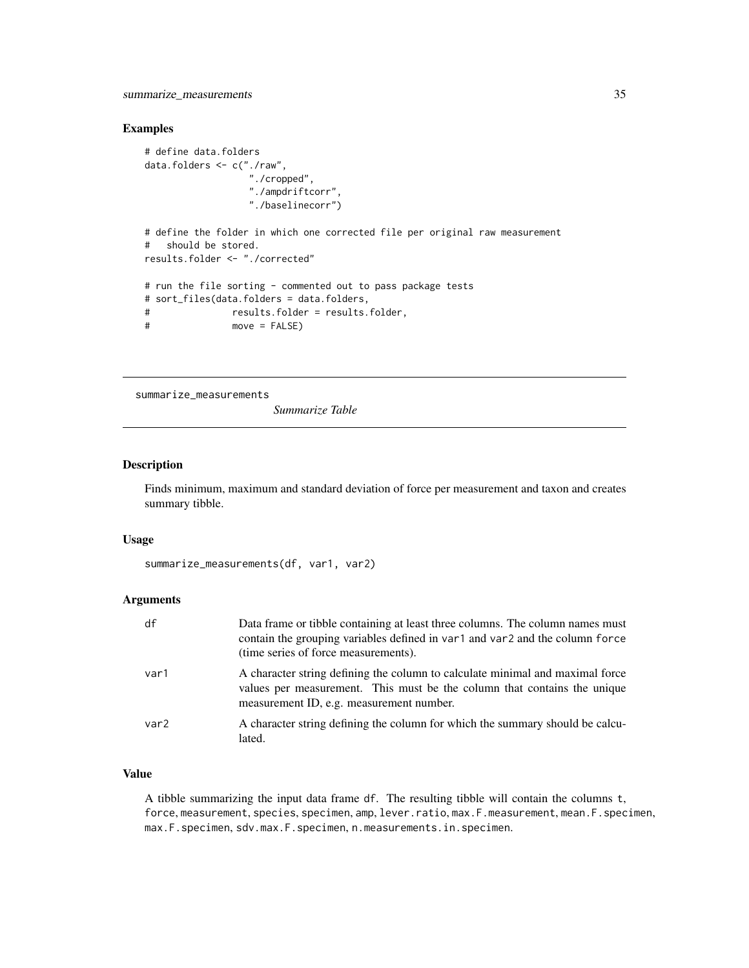#### <span id="page-34-0"></span>Examples

```
# define data.folders
data.folders <- c("./raw",
                  "./cropped",
                  "./ampdriftcorr",
                  "./baselinecorr")
# define the folder in which one corrected file per original raw measurement
# should be stored.
results.folder <- "./corrected"
# run the file sorting - commented out to pass package tests
# sort_files(data.folders = data.folders,
# results.folder = results.folder,
# move = FALSE)
```
summarize\_measurements

*Summarize Table*

# Description

Finds minimum, maximum and standard deviation of force per measurement and taxon and creates summary tibble.

#### Usage

```
summarize_measurements(df, var1, var2)
```
# Arguments

| df   | Data frame or tibble containing at least three columns. The column names must<br>contain the grouping variables defined in var1 and var2 and the column force<br>(time series of force measurements). |
|------|-------------------------------------------------------------------------------------------------------------------------------------------------------------------------------------------------------|
| var1 | A character string defining the column to calculate minimal and maximal force<br>values per measurement. This must be the column that contains the unique<br>measurement ID, e.g. measurement number. |
| var2 | A character string defining the column for which the summary should be calcu-<br>lated.                                                                                                               |

#### Value

A tibble summarizing the input data frame df. The resulting tibble will contain the columns t, force, measurement, species, specimen, amp, lever.ratio, max.F.measurement, mean.F.specimen, max.F.specimen, sdv.max.F.specimen, n.measurements.in.specimen.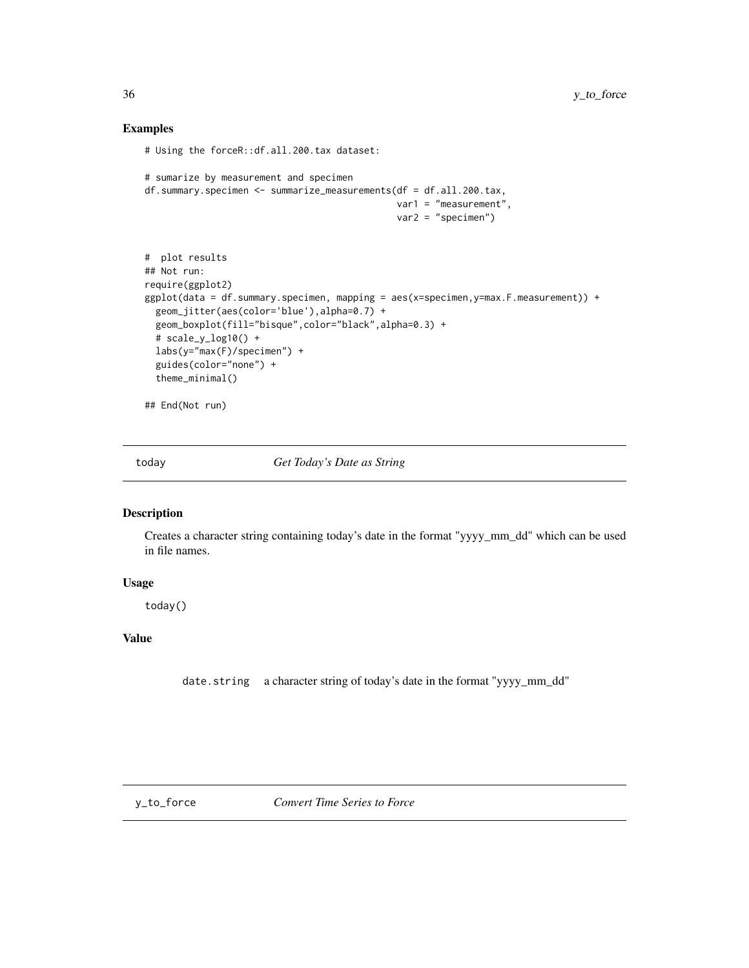# Examples

```
# Using the forceR::df.all.200.tax dataset:
```

```
# sumarize by measurement and specimen
df.summary.specimen <- summarize_measurements(df = df.all.200.tax,
                                              var1 = "measurement",
                                              var2 = "specimen")
# plot results
## Not run:
require(ggplot2)
ggplot(data = df.summary.specimen, mapping = aes(x=specimen,y=max.F.measurement)) +
  geom_jitter(aes(color='blue'),alpha=0.7) +
  geom_boxplot(fill="bisque",color="black",alpha=0.3) +
  # scale_y_log10() +
  labs(y="max(F)/specimen") +
  guides(color="none") +
  theme_minimal()
```
## End(Not run)

today *Get Today's Date as String*

#### Description

Creates a character string containing today's date in the format "yyyy\_mm\_dd" which can be used in file names.

#### Usage

today()

# Value

date.string a character string of today's date in the format "yyyy\_mm\_dd"

<span id="page-35-0"></span>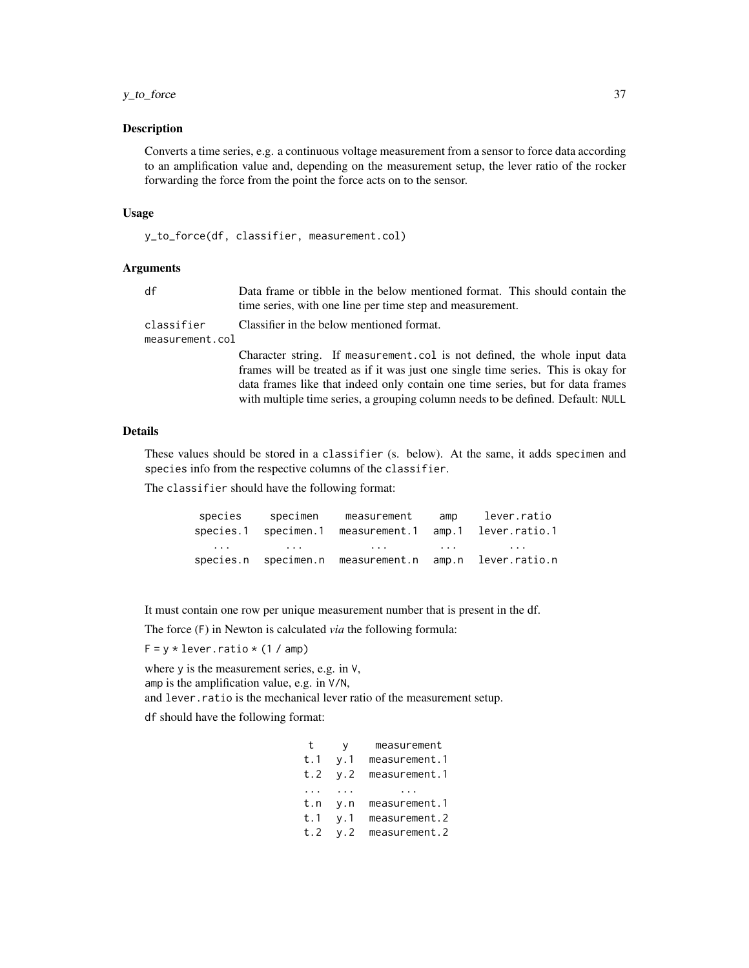# y\_to\_force 37

#### Description

Converts a time series, e.g. a continuous voltage measurement from a sensor to force data according to an amplification value and, depending on the measurement setup, the lever ratio of the rocker forwarding the force from the point the force acts on to the sensor.

#### Usage

```
y_to_force(df, classifier, measurement.col)
```
# Arguments

| df                                                                         | Data frame or tibble in the below mentioned format. This should contain the<br>time series, with one line per time step and measurement.                                                                                                                                                                                            |  |
|----------------------------------------------------------------------------|-------------------------------------------------------------------------------------------------------------------------------------------------------------------------------------------------------------------------------------------------------------------------------------------------------------------------------------|--|
| Classifier in the below mentioned format.<br>classifier<br>measurement.col |                                                                                                                                                                                                                                                                                                                                     |  |
|                                                                            | Character string. If measurement col is not defined, the whole input data<br>frames will be treated as if it was just one single time series. This is okay for<br>data frames like that indeed only contain one time series, but for data frames<br>with multiple time series, a grouping column needs to be defined. Default: NULL |  |

# Details

These values should be stored in a classifier (s. below). At the same, it adds specimen and species info from the respective columns of the classifier.

The classifier should have the following format:

|                         | species specimen measurement amp lever.ratio                                                                   |  |
|-------------------------|----------------------------------------------------------------------------------------------------------------|--|
|                         | species.1 specimen.1 measurement.1 amp.1 lever.ratio.1                                                         |  |
| $\cdot$ $\cdot$ $\cdot$ | restricted and the second contract of the second contract of the second contract of the second contract of the |  |
|                         | species.n specimen.n measurement.n amp.n lever.ratio.n                                                         |  |

It must contain one row per unique measurement number that is present in the df.

The force (F) in Newton is calculated *via* the following formula:

 $F = y * lever.ratio * (1 / amp)$ 

where y is the measurement series, e.g. in V,

amp is the amplification value, e.g. in V/N,

and lever.ratio is the mechanical lever ratio of the measurement setup.

df should have the following format:

| t        | V           | measurement   |
|----------|-------------|---------------|
| t.1      | y.1         | measurement.1 |
| t.2      | v.2         | measurement.1 |
| $\cdots$ | .           |               |
| t.n      | $V \cdot n$ | measurement.1 |
| t.1      | v.1         | measurement.2 |
| t.2      | y.2         | measurement.2 |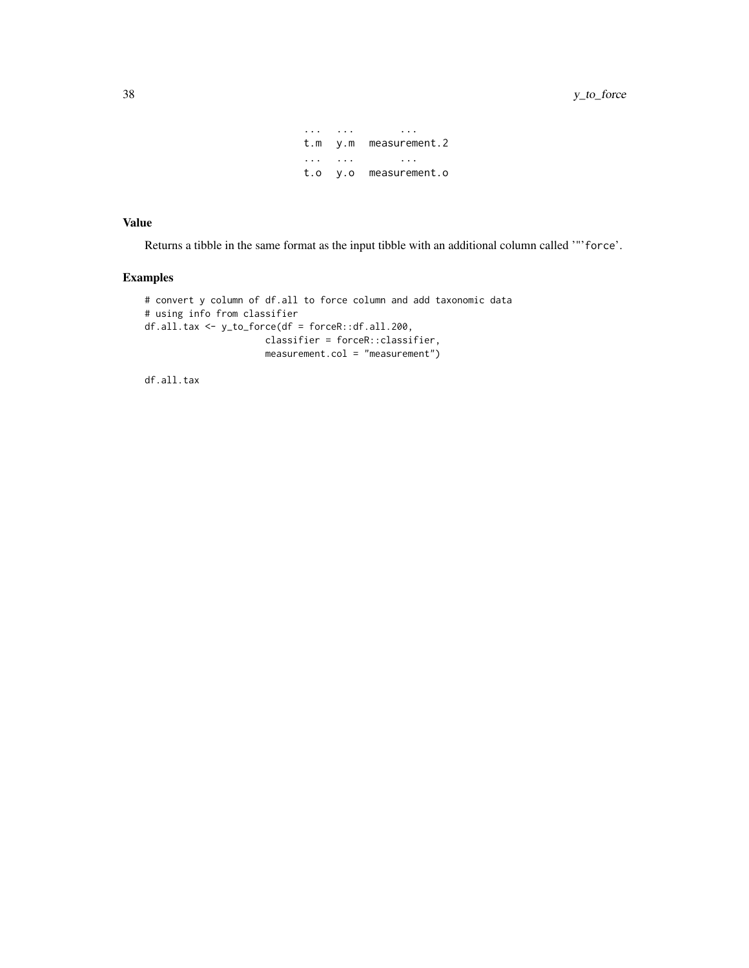... ... ... t.m y.m measurement.2 ... ... ... t.o y.o measurement.o

# Value

Returns a tibble in the same format as the input tibble with an additional column called '"'force'.

# Examples

```
# convert y column of df.all to force column and add taxonomic data
# using info from classifier
df.all.tax <- y_to_force(df = forceR::df.all.200,
                     classifier = forceR::classifier,
                     measurement.col = "measurement")
```
df.all.tax